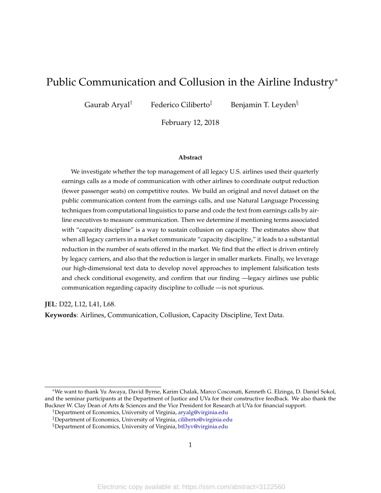# Public Communication and Collusion in the Airline Industry<sup>∗</sup>

Gaurab Aryal<sup>†</sup> Federico Ciliberto<sup>‡</sup> Benjamin T. Leyden<sup>§</sup>

February 12, 2018

#### **Abstract**

We investigate whether the top management of all legacy U.S. airlines used their quarterly earnings calls as a mode of communication with other airlines to coordinate output reduction (fewer passenger seats) on competitive routes. We build an original and novel dataset on the public communication content from the earnings calls, and use Natural Language Processing techniques from computational linguistics to parse and code the text from earnings calls by airline executives to measure communication. Then we determine if mentioning terms associated with "capacity discipline" is a way to sustain collusion on capacity. The estimates show that when all legacy carriers in a market communicate "capacity discipline," it leads to a substantial reduction in the number of seats offered in the market. We find that the effect is driven entirely by legacy carriers, and also that the reduction is larger in smaller markets. Finally, we leverage our high-dimensional text data to develop novel approaches to implement falsification tests and check conditional exogeneity, and confirm that our finding —legacy airlines use public communication regarding capacity discipline to collude —is not spurious.

**JEL**: D22, L12, L41, L68.

**Keywords**: Airlines, Communication, Collusion, Capacity Discipline, Text Data.

<sup>∗</sup>We want to thank Yu Awaya, David Byrne, Karim Chalak, Marco Cosconati, Kenneth G. Elzinga, D. Daniel Sokol, and the seminar participants at the Department of Justice and UVa for their constructive feedback. We also thank the Buckner W. Clay Dean of Arts & Sciences and the Vice President for Research at UVa for financial support.

<sup>†</sup>Department of Economics, University of Virginia, [aryalg@virginia.edu](mailto: aryalg@virginia.edu)

<sup>‡</sup>Department of Economics, University of Virginia, [ciliberto@virginia.edu](mailto: ciliberto@virginia.edu)

<sup>§</sup>Department of Economics, University of Virginia, [btl3yv@virginia.edu](mailto: btl3yv@virginia.edu)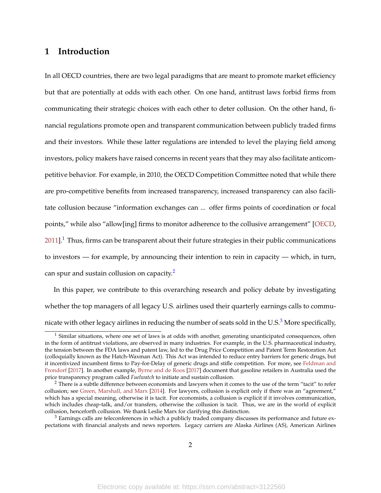## <span id="page-1-3"></span>**1 Introduction**

In all OECD countries, there are two legal paradigms that are meant to promote market efficiency but that are potentially at odds with each other. On one hand, antitrust laws forbid firms from communicating their strategic choices with each other to deter collusion. On the other hand, financial regulations promote open and transparent communication between publicly traded firms and their investors. While these latter regulations are intended to level the playing field among investors, policy makers have raised concerns in recent years that they may also facilitate anticompetitive behavior. For example, in 2010, the OECD Competition Committee noted that while there are pro-competitive benefits from increased transparency, increased transparency can also facilitate collusion because "information exchanges can ... offer firms points of coordination or focal points," while also "allow[ing] firms to monitor adherence to the collusive arrangement" [\[OECD,](#page-57-0)  $2011$  $2011$  $2011$ ].<sup>1</sup> Thus, firms can be transparent about their future strategies in their public communications to investors — for example, by announcing their intention to rein in capacity — which, in turn, can spur and sustain collusion on capacity.<sup>[2](#page-1-1)</sup>

In this paper, we contribute to this overarching research and policy debate by investigating whether the top managers of all legacy U.S. airlines used their quarterly earnings calls to communicate with other legacy airlines in reducing the number of seats sold in the U.S. $3$  More specifically,

<span id="page-1-0"></span> $<sup>1</sup>$  Similar situations, where one set of laws is at odds with another, generating unanticipated consequences, often</sup> in the form of antitrust violations, are observed in many industries. For example, in the U.S. pharmaceutical industry, the tension between the FDA laws and patent law, led to the Drug Price Competition and Patent Term Restoration Act (colloquially known as the Hatch-Waxman Act). This Act was intended to reduce entry barriers for generic drugs, but it incentivized incumbent firms to Pay-for-Delay of generic drugs and stifle competition. For more, see [Feldman and](#page-54-0) [Frondorf](#page-54-0) [\[2017\]](#page-54-0). In another example, [Byrne and de Roos](#page-53-0) [\[2017\]](#page-53-0) document that gasoline retailers in Australia used the price transparency program called *Fuelwatch* to initiate and sustain collusion.

<span id="page-1-1"></span><sup>&</sup>lt;sup>2</sup> There is a subtle difference between economists and lawyers when it comes to the use of the term "tacit" to refer collusion; see [Green, Marshall, and Marx](#page-55-0) [\[2014\]](#page-55-0). For lawyers, collusion is explicit only if there was an "agreement," which has a special meaning, otherwise it is tacit. For economists, a collusion is explicit if it involves communication, which includes cheap-talk, and/or transfers, otherwise the collusion is tacit. Thus, we are in the world of explicit collusion, henceforth collusion. We thank Leslie Marx for clarifying this distinction.

<span id="page-1-2"></span> $3$  Earnings calls are teleconferences in which a publicly traded company discusses its performance and future expectations with financial analysts and news reporters. Legacy carriers are Alaska Airlines (AS), American Airlines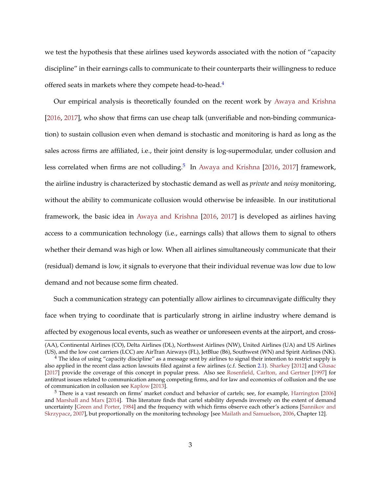<span id="page-2-2"></span>we test the hypothesis that these airlines used keywords associated with the notion of "capacity discipline" in their earnings calls to communicate to their counterparts their willingness to reduce offered seats in markets where they compete head-to-head.<sup>[4](#page-2-0)</sup>

Our empirical analysis is theoretically founded on the recent work by [Awaya and Krishna](#page-51-0) [\[2016,](#page-51-0) [2017\]](#page-51-1), who show that firms can use cheap talk (unverifiable and non-binding communication) to sustain collusion even when demand is stochastic and monitoring is hard as long as the sales across firms are affiliated, i.e., their joint density is log-supermodular, under collusion and less correlated when firms are not colluding.<sup>[5](#page-2-1)</sup> In [Awaya and Krishna](#page-51-0) [\[2016,](#page-51-0) [2017\]](#page-51-1) framework, the airline industry is characterized by stochastic demand as well as *private* and *noisy* monitoring, without the ability to communicate collusion would otherwise be infeasible. In our institutional framework, the basic idea in [Awaya and Krishna](#page-51-0) [\[2016,](#page-51-0) [2017\]](#page-51-1) is developed as airlines having access to a communication technology (i.e., earnings calls) that allows them to signal to others whether their demand was high or low. When all airlines simultaneously communicate that their (residual) demand is low, it signals to everyone that their individual revenue was low due to low demand and not because some firm cheated.

Such a communication strategy can potentially allow airlines to circumnavigate difficulty they face when trying to coordinate that is particularly strong in airline industry where demand is affected by exogenous local events, such as weather or unforeseen events at the airport, and cross-

<sup>(</sup>AA), Continental Airlines (CO), Delta Airlines (DL), Northwest Airlines (NW), United Airlines (UA) and US Airlines (US), and the low cost carriers (LCC) are AirTran Airways (FL), JetBlue (B6), Southwest (WN) and Spirit Airlines (NK).

<span id="page-2-0"></span> $4$  The idea of using "capacity discipline" as a message sent by airlines to signal their intention to restrict supply is also applied in the recent class action lawsuits filed against a few airlines (c.f. Section [2.1\)](#page-8-0). [Sharkey](#page-58-0) [\[2012\]](#page-58-0) and [Glusac](#page-54-1) [\[2017\]](#page-54-1) provide the coverage of this concept in popular press. Also see [Rosenfield, Carlton, and Gertner](#page-58-1) [\[1997\]](#page-58-1) for antitrust issues related to communication among competing firms, and for law and economics of collusion and the use of communication in collusion see [Kaplow](#page-56-0) [\[2013\]](#page-56-0).

<span id="page-2-1"></span> $<sup>5</sup>$  There is a vast research on firms' market conduct and behavior of cartels; see, for example, [Harrington](#page-55-1) [\[2006\]](#page-55-1)</sup> and [Marshall and Marx](#page-56-1) [\[2014\]](#page-56-1). This literature finds that cartel stability depends inversely on the extent of demand uncertainty [\[Green and Porter,](#page-55-2) [1984\]](#page-55-2) and the frequency with which firms observe each other's actions [\[Sannikov and](#page-58-2) [Skrzypacz,](#page-58-2) [2007\]](#page-58-2), but proportionally on the monitoring technology [see [Mailath and Samuelson,](#page-56-2) [2006,](#page-56-2) Chapter 12].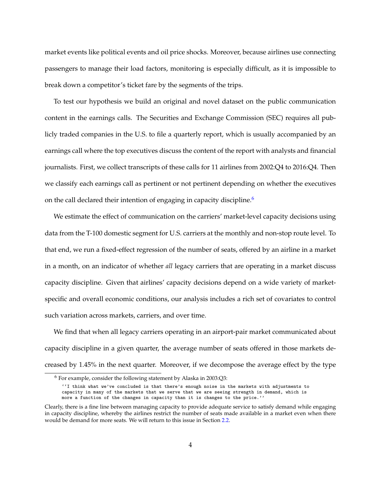market events like political events and oil price shocks. Moreover, because airlines use connecting passengers to manage their load factors, monitoring is especially difficult, as it is impossible to break down a competitor's ticket fare by the segments of the trips.

To test our hypothesis we build an original and novel dataset on the public communication content in the earnings calls. The Securities and Exchange Commission (SEC) requires all publicly traded companies in the U.S. to file a quarterly report, which is usually accompanied by an earnings call where the top executives discuss the content of the report with analysts and financial journalists. First, we collect transcripts of these calls for 11 airlines from 2002:Q4 to 2016:Q4. Then we classify each earnings call as pertinent or not pertinent depending on whether the executives on the call declared their intention of engaging in capacity discipline.<sup>[6](#page-3-0)</sup>

We estimate the effect of communication on the carriers' market-level capacity decisions using data from the T-100 domestic segment for U.S. carriers at the monthly and non-stop route level. To that end, we run a fixed-effect regression of the number of seats, offered by an airline in a market in a month, on an indicator of whether *all* legacy carriers that are operating in a market discuss capacity discipline. Given that airlines' capacity decisions depend on a wide variety of marketspecific and overall economic conditions, our analysis includes a rich set of covariates to control such variation across markets, carriers, and over time.

We find that when all legacy carriers operating in an airport-pair market communicated about capacity discipline in a given quarter, the average number of seats offered in those markets decreased by 1.45% in the next quarter. Moreover, if we decompose the average effect by the type

<span id="page-3-0"></span> $6$  For example, consider the following statement by Alaska in 2003:Q3:

<sup>&#</sup>x27;'I think what we've concluded is that there's enough noise in the markets with adjustments to capacity in many of the markets that we serve that we are seeing strength in demand, which is more a function of the changes in capacity than it is changes to the price.''

Clearly, there is a fine line between managing capacity to provide adequate service to satisfy demand while engaging in capacity discipline, whereby the airlines restrict the number of seats made available in a market even when there would be demand for more seats. We will return to this issue in Section [2.2.](#page-9-0)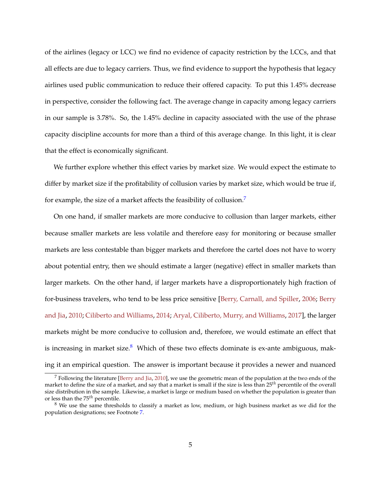<span id="page-4-2"></span>of the airlines (legacy or LCC) we find no evidence of capacity restriction by the LCCs, and that all effects are due to legacy carriers. Thus, we find evidence to support the hypothesis that legacy airlines used public communication to reduce their offered capacity. To put this 1.45% decrease in perspective, consider the following fact. The average change in capacity among legacy carriers in our sample is 3.78%. So, the 1.45% decline in capacity associated with the use of the phrase capacity discipline accounts for more than a third of this average change. In this light, it is clear that the effect is economically significant.

We further explore whether this effect varies by market size. We would expect the estimate to differ by market size if the profitability of collusion varies by market size, which would be true if, for example, the size of a market affects the feasibility of collusion.[7](#page-4-0)

On one hand, if smaller markets are more conducive to collusion than larger markets, either because smaller markets are less volatile and therefore easy for monitoring or because smaller markets are less contestable than bigger markets and therefore the cartel does not have to worry about potential entry, then we should estimate a larger (negative) effect in smaller markets than larger markets. On the other hand, if larger markets have a disproportionately high fraction of for-business travelers, who tend to be less price sensitive [\[Berry, Carnall, and Spiller,](#page-52-0) [2006;](#page-52-0) [Berry](#page-52-1) [and Jia,](#page-52-1) [2010;](#page-52-1) [Ciliberto and Williams,](#page-53-1) [2014;](#page-53-1) [Aryal, Ciliberto, Murry, and Williams,](#page-51-2) [2017\]](#page-51-2), the larger markets might be more conducive to collusion and, therefore, we would estimate an effect that is increasing in market size. $8$  Which of these two effects dominate is ex-ante ambiguous, making it an empirical question. The answer is important because it provides a newer and nuanced

<span id="page-4-0"></span> $<sup>7</sup>$  Following the literature [\[Berry and Jia,](#page-52-1) [2010\]](#page-52-1), we use the geometric mean of the population at the two ends of the</sup> market to define the size of a market, and say that a market is small if the size is less than 25*th* percentile of the overall size distribution in the sample. Likewise, a market is large or medium based on whether the population is greater than or less than the 75*th* percentile.

<span id="page-4-1"></span> $8$  We use the same thresholds to classify a market as low, medium, or high business market as we did for the population designations; see Footnote [7.](#page-4-0)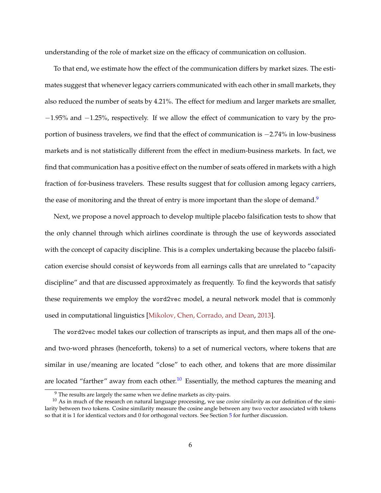<span id="page-5-2"></span>understanding of the role of market size on the efficacy of communication on collusion.

To that end, we estimate how the effect of the communication differs by market sizes. The estimates suggest that whenever legacy carriers communicated with each other in small markets, they also reduced the number of seats by 4.21%. The effect for medium and larger markets are smaller, −1.95% and −1.25%, respectively. If we allow the effect of communication to vary by the proportion of business travelers, we find that the effect of communication is −2.74% in low-business markets and is not statistically different from the effect in medium-business markets. In fact, we find that communication has a positive effect on the number of seats offered in markets with a high fraction of for-business travelers. These results suggest that for collusion among legacy carriers, the ease of monitoring and the threat of entry is more important than the slope of demand.<sup>[9](#page-5-0)</sup>

Next, we propose a novel approach to develop multiple placebo falsification tests to show that the only channel through which airlines coordinate is through the use of keywords associated with the concept of capacity discipline. This is a complex undertaking because the placebo falsification exercise should consist of keywords from all earnings calls that are unrelated to "capacity discipline" and that are discussed approximately as frequently. To find the keywords that satisfy these requirements we employ the word2vec model, a neural network model that is commonly used in computational linguistics [\[Mikolov, Chen, Corrado, and Dean,](#page-56-3) [2013\]](#page-56-3).

The word2vec model takes our collection of transcripts as input, and then maps all of the oneand two-word phrases (henceforth, tokens) to a set of numerical vectors, where tokens that are similar in use/meaning are located "close" to each other, and tokens that are more dissimilar are located "farther" away from each other.<sup>[10](#page-5-1)</sup> Essentially, the method captures the meaning and

<span id="page-5-1"></span><span id="page-5-0"></span><sup>&</sup>lt;sup>9</sup> The results are largely the same when we define markets as city-pairs.

<sup>10</sup> As in much of the research on natural language processing, we use *cosine similarity* as our definition of the similarity between two tokens. Cosine similarity measure the cosine angle between any two vector associated with tokens so that it is 1 for identical vectors and 0 for orthogonal vectors. See Section [5](#page-38-0) for further discussion.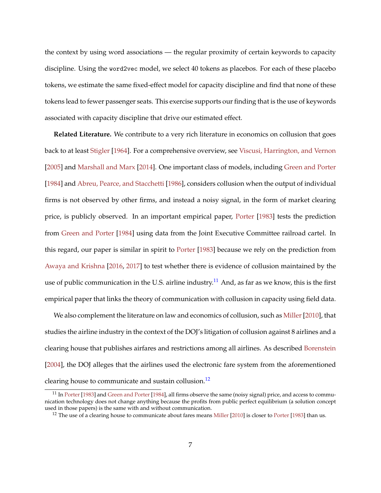<span id="page-6-2"></span>the context by using word associations — the regular proximity of certain keywords to capacity discipline. Using the word2vec model, we select 40 tokens as placebos. For each of these placebo tokens, we estimate the same fixed-effect model for capacity discipline and find that none of these tokens lead to fewer passenger seats. This exercise supports our finding that is the use of keywords associated with capacity discipline that drive our estimated effect.

**Related Literature.** We contribute to a very rich literature in economics on collusion that goes back to at least [Stigler](#page-58-3) [\[1964\]](#page-58-3). For a comprehensive overview, see [Viscusi, Harrington, and Vernon](#page-58-4) [\[2005\]](#page-58-4) and [Marshall and Marx](#page-56-1) [\[2014\]](#page-56-1). One important class of models, including [Green and Porter](#page-55-2) [\[1984\]](#page-55-2) and [Abreu, Pearce, and Stacchetti](#page-51-3) [\[1986\]](#page-51-3), considers collusion when the output of individual firms is not observed by other firms, and instead a noisy signal, in the form of market clearing price, is publicly observed. In an important empirical paper, [Porter](#page-57-1) [\[1983\]](#page-57-1) tests the prediction from [Green and Porter](#page-55-2) [\[1984\]](#page-55-2) using data from the Joint Executive Committee railroad cartel. In this regard, our paper is similar in spirit to [Porter](#page-57-1) [\[1983\]](#page-57-1) because we rely on the prediction from [Awaya and Krishna](#page-51-0) [\[2016,](#page-51-0) [2017\]](#page-51-1) to test whether there is evidence of collusion maintained by the use of public communication in the U.S. airline industry.<sup>[11](#page-6-0)</sup> And, as far as we know, this is the first empirical paper that links the theory of communication with collusion in capacity using field data.

We also complement the literature on law and economics of collusion, such as Miller [2010], that studies the airline industry in the context of the DOJ's litigation of collusion against 8 airlines and a clearing house that publishes airfares and restrictions among all airlines. As described [Borenstein](#page-52-2) [\[2004\]](#page-52-2), the DOJ alleges that the airlines used the electronic fare system from the aforementioned clearing house to communicate and sustain collusion.<sup>[12](#page-6-1)</sup>

<span id="page-6-0"></span> $11$  In [Porter](#page-57-1) [\[1983\]](#page-57-1) and [Green and Porter](#page-55-2) [\[1984\]](#page-55-2), all firms observe the same (noisy signal) price, and access to communication technology does not change anything because the profits from public perfect equilibrium (a solution concept used in those papers) is the same with and without communication.

<span id="page-6-1"></span><sup>&</sup>lt;sup>12</sup> The use of a clearing house to communicate about fares means [Miller](#page-57-2)  $[2010]$  is closer to [Porter](#page-57-1)  $[1983]$  than us.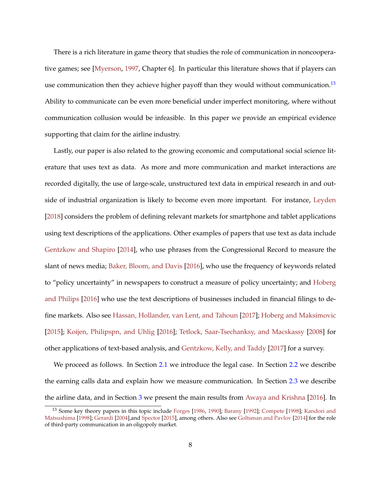<span id="page-7-1"></span>There is a rich literature in game theory that studies the role of communication in noncooperative games; see [\[Myerson,](#page-57-3) [1997,](#page-57-3) Chapter 6]. In particular this literature shows that if players can use communication then they achieve higher payoff than they would without communication.<sup>[13](#page-7-0)</sup> Ability to communicate can be even more beneficial under imperfect monitoring, where without communication collusion would be infeasible. In this paper we provide an empirical evidence supporting that claim for the airline industry.

Lastly, our paper is also related to the growing economic and computational social science literature that uses text as data. As more and more communication and market interactions are recorded digitally, the use of large-scale, unstructured text data in empirical research in and outside of industrial organization is likely to become even more important. For instance, [Leyden](#page-56-4) [\[2018\]](#page-56-4) considers the problem of defining relevant markets for smartphone and tablet applications using text descriptions of the applications. Other examples of papers that use text as data include [Gentzkow and Shapiro](#page-54-2) [\[2014\]](#page-54-2), who use phrases from the Congressional Record to measure the slant of news media; [Baker, Bloom, and Davis](#page-51-4) [\[2016\]](#page-51-4), who use the frequency of keywords related to "policy uncertainty" in newspapers to construct a measure of policy uncertainty; and [Hoberg](#page-56-5) [and Philips](#page-56-5) [\[2016\]](#page-56-5) who use the text descriptions of businesses included in financial filings to define markets. Also see [Hassan, Hollander, van Lent, and Tahoun](#page-55-3) [\[2017\]](#page-55-3); [Hoberg and Maksimovic](#page-55-4) [\[2015\]](#page-55-4); [Koijen, Philipspn, and Uhlig](#page-56-6) [\[2016\]](#page-56-6); [Tetlock, Saar-Tsechanksy, and Macskassy](#page-58-5) [\[2008\]](#page-58-5) for other applications of text-based analysis, and [Gentzkow, Kelly, and Taddy](#page-54-3) [\[2017\]](#page-54-3) for a survey.

We proceed as follows. In Section [2.1](#page-8-0) we introduce the legal case. In Section [2.2](#page-9-0) we describe the earning calls data and explain how we measure communication. In Section [2.3](#page-14-0) we describe the airline data, and in Section [3](#page-22-0) we present the main results from [Awaya and Krishna](#page-51-0) [\[2016\]](#page-51-0). In

<span id="page-7-0"></span><sup>&</sup>lt;sup>13</sup> Some key theory papers in this topic include [Forges](#page-54-4) [\[1986,](#page-54-4) [1990\]](#page-54-5); [Barany](#page-51-5) [\[1992\]](#page-51-5); [Compete](#page-53-2) [\[1998\]](#page-53-2); [Kandori and](#page-56-7) [Matsushima](#page-56-7) [\[1998\]](#page-56-7); [Gerardi](#page-54-6) [\[2004\]](#page-54-6),and [Spector](#page-58-6) [\[2015\]](#page-58-6), among others. Also see [Goltsman and Pavlov](#page-55-5) [\[2014\]](#page-55-5) for the role of third-party communication in an oligopoly market.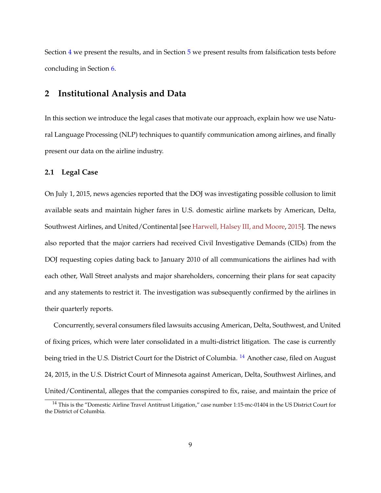<span id="page-8-2"></span>Section [4](#page-26-0) we present the results, and in Section [5](#page-38-0) we present results from falsification tests before concluding in Section [6.](#page-49-0)

## **2 Institutional Analysis and Data**

In this section we introduce the legal cases that motivate our approach, explain how we use Natural Language Processing (NLP) techniques to quantify communication among airlines, and finally present our data on the airline industry.

### <span id="page-8-0"></span>**2.1 Legal Case**

On July 1, 2015, news agencies reported that the DOJ was investigating possible collusion to limit available seats and maintain higher fares in U.S. domestic airline markets by American, Delta, Southwest Airlines, and United/Continental [see [Harwell, Halsey III, and Moore,](#page-55-6) [2015\]](#page-55-6). The news also reported that the major carriers had received Civil Investigative Demands (CIDs) from the DOJ requesting copies dating back to January 2010 of all communications the airlines had with each other, Wall Street analysts and major shareholders, concerning their plans for seat capacity and any statements to restrict it. The investigation was subsequently confirmed by the airlines in their quarterly reports.

Concurrently, several consumers filed lawsuits accusing American, Delta, Southwest, and United of fixing prices, which were later consolidated in a multi-district litigation. The case is currently being tried in the U.S. District Court for the District of Columbia. <sup>[14](#page-8-1)</sup> Another case, filed on August 24, 2015, in the U.S. District Court of Minnesota against American, Delta, Southwest Airlines, and United/Continental, alleges that the companies conspired to fix, raise, and maintain the price of

<span id="page-8-1"></span><sup>14</sup> This is the "Domestic Airline Travel Antitrust Litigation," case number 1:15-mc-01404 in the US District Court for the District of Columbia.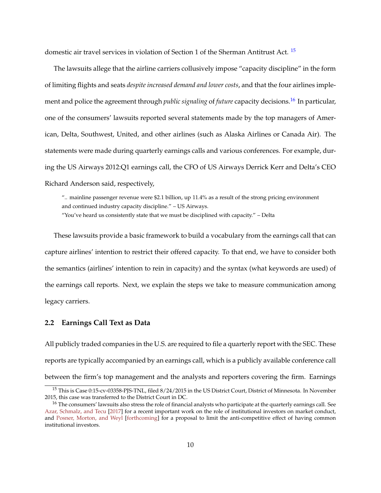<span id="page-9-3"></span>domestic air travel services in violation of Section 1 of the Sherman Antitrust Act. [15](#page-9-1)

The lawsuits allege that the airline carriers collusively impose "capacity discipline" in the form of limiting flights and seats *despite increased demand and lower costs*, and that the four airlines implement and police the agreement through *public signaling* of *future* capacity decisions.<sup>[16](#page-9-2)</sup> In particular, one of the consumers' lawsuits reported several statements made by the top managers of American, Delta, Southwest, United, and other airlines (such as Alaska Airlines or Canada Air). The statements were made during quarterly earnings calls and various conferences. For example, during the US Airways 2012:Q1 earnings call, the CFO of US Airways Derrick Kerr and Delta's CEO Richard Anderson said, respectively,

".. mainline passenger revenue were \$2.1 billion, up 11.4% as a result of the strong pricing environment and continued industry capacity discipline." – US Airways. "You've heard us consistently state that we must be disciplined with capacity." – Delta

These lawsuits provide a basic framework to build a vocabulary from the earnings call that can capture airlines' intention to restrict their offered capacity. To that end, we have to consider both the semantics (airlines' intention to rein in capacity) and the syntax (what keywords are used) of the earnings call reports. Next, we explain the steps we take to measure communication among legacy carriers.

## <span id="page-9-0"></span>**2.2 Earnings Call Text as Data**

All publicly traded companies in the U.S. are required to file a quarterly report with the SEC. These reports are typically accompanied by an earnings call, which is a publicly available conference call between the firm's top management and the analysts and reporters covering the firm. Earnings

<span id="page-9-1"></span><sup>15</sup> This is Case 0:15-cv-03358-PJS-TNL, filed 8/24/2015 in the US District Court, District of Minnesota. In November 2015, this case was transferred to the District Court in DC.

<span id="page-9-2"></span><sup>&</sup>lt;sup>16</sup> The consumers' lawsuits also stress the role of financial analysts who participate at the quarterly earnings call. See [Azar, Schmalz, and Tecu](#page-51-6) [\[2017\]](#page-51-6) for a recent important work on the role of institutional investors on market conduct, and [Posner, Morton, and Weyl](#page-57-4) [\[forthcoming\]](#page-57-4) for a proposal to limit the anti-competitive effect of having common institutional investors.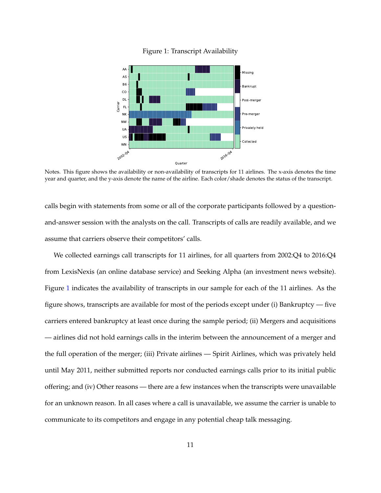

<span id="page-10-0"></span>

Notes. This figure shows the availability or non-availability of transcripts for 11 airlines. The x-axis denotes the time year and quarter, and the y-axis denote the name of the airline. Each color/shade denotes the status of the transcript.

calls begin with statements from some or all of the corporate participants followed by a questionand-answer session with the analysts on the call. Transcripts of calls are readily available, and we assume that carriers observe their competitors' calls.

We collected earnings call transcripts for 11 airlines, for all quarters from 2002:Q4 to 2016:Q4 from LexisNexis (an online database service) and Seeking Alpha (an investment news website). Figure [1](#page-10-0) indicates the availability of transcripts in our sample for each of the 11 airlines. As the figure shows, transcripts are available for most of the periods except under (i) Bankruptcy — five carriers entered bankruptcy at least once during the sample period; (ii) Mergers and acquisitions — airlines did not hold earnings calls in the interim between the announcement of a merger and the full operation of the merger; (iii) Private airlines — Spirit Airlines, which was privately held until May 2011, neither submitted reports nor conducted earnings calls prior to its initial public offering; and (iv) Other reasons — there are a few instances when the transcripts were unavailable for an unknown reason. In all cases where a call is unavailable, we assume the carrier is unable to communicate to its competitors and engage in any potential cheap talk messaging.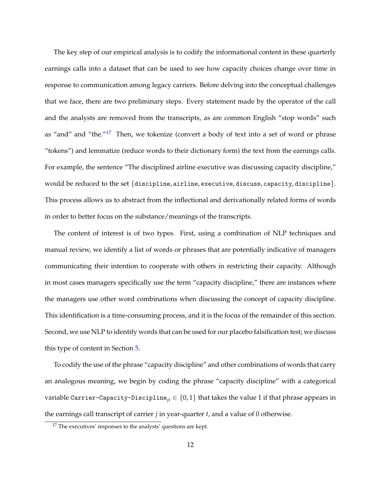The key step of our empirical analysis is to codify the informational content in these quarterly earnings calls into a dataset that can be used to see how capacity choices change over time in response to communication among legacy carriers. Before delving into the conceptual challenges that we face, there are two preliminary steps. Every statement made by the operator of the call and the analysts are removed from the transcripts, as are common English "stop words" such as "and" and "the."<sup>[17](#page-11-0)</sup> Then, we tokenize (convert a body of text into a set of word or phrase "tokens") and lemmatize (reduce words to their dictionary form) the text from the earnings calls. For example, the sentence "The disciplined airline executive was discussing capacity discipline," would be reduced to the set  $\{discpline, arithmetic, descutive, discuss, capacity, discipline\}.$ This process allows us to abstract from the inflectional and derivationally related forms of words in order to better focus on the substance/meanings of the transcripts.

The content of interest is of two types. First, using a combination of NLP techniques and manual review, we identify a list of words or phrases that are potentially indicative of managers communicating their intention to cooperate with others in restricting their capacity. Although in most cases managers specifically use the term "capacity discipline," there are instances where the managers use other word combinations when discussing the concept of capacity discipline. This identification is a time-consuming process, and it is the focus of the remainder of this section. Second, we use NLP to identify words that can be used for our placebo falsification test; we discuss this type of content in Section [5.](#page-38-0)

To codify the use of the phrase "capacity discipline" and other combinations of words that carry an analogous meaning, we begin by coding the phrase "capacity discipline" with a categorical variable Carrier-Capacity-Discipline<sub>it</sub>  $\in \{0,1\}$  that takes the value 1 if that phrase appears in the earnings call transcript of carrier *j* in year-quarter *t*, and a value of 0 otherwise.

<span id="page-11-0"></span><sup>&</sup>lt;sup>17</sup> The executives' responses to the analysts' questions are kept.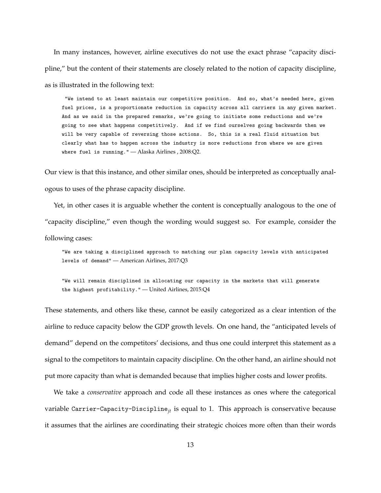In many instances, however, airline executives do not use the exact phrase "capacity discipline," but the content of their statements are closely related to the notion of capacity discipline, as is illustrated in the following text:

"We intend to at least maintain our competitive position. And so, what's needed here, given fuel prices, is a proportionate reduction in capacity across all carriers in any given market. And as we said in the prepared remarks, we're going to initiate some reductions and we're going to see what happens competitively. And if we find ourselves going backwards then we will be very capable of reversing those actions. So, this is a real fluid situation but clearly what has to happen across the industry is more reductions from where we are given where fuel is running." — Alaska Airlines , 2008:Q2.

Our view is that this instance, and other similar ones, should be interpreted as conceptually analogous to uses of the phrase capacity discipline.

Yet, in other cases it is arguable whether the content is conceptually analogous to the one of "capacity discipline," even though the wording would suggest so. For example, consider the following cases:

"We are taking a disciplined approach to matching our plan capacity levels with anticipated levels of demand" — American Airlines, 2017:Q3

"We will remain disciplined in allocating our capacity in the markets that will generate the highest profitability." — United Airlines, 2015:Q4

These statements, and others like these, cannot be easily categorized as a clear intention of the airline to reduce capacity below the GDP growth levels. On one hand, the "anticipated levels of demand" depend on the competitors' decisions, and thus one could interpret this statement as a signal to the competitors to maintain capacity discipline. On the other hand, an airline should not put more capacity than what is demanded because that implies higher costs and lower profits.

We take a *conservative* approach and code all these instances as ones where the categorical variable Carrier-Capacity-Discipline*jt* is equal to 1. This approach is conservative because it assumes that the airlines are coordinating their strategic choices more often than their words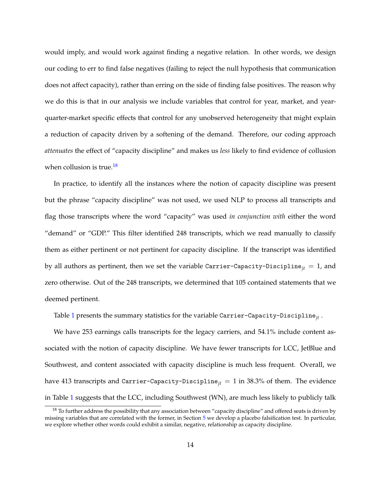would imply, and would work against finding a negative relation. In other words, we design our coding to err to find false negatives (failing to reject the null hypothesis that communication does not affect capacity), rather than erring on the side of finding false positives. The reason why we do this is that in our analysis we include variables that control for year, market, and yearquarter-market specific effects that control for any unobserved heterogeneity that might explain a reduction of capacity driven by a softening of the demand. Therefore, our coding approach *attenuates* the effect of "capacity discipline" and makes us *less* likely to find evidence of collusion when collusion is true.<sup>[18](#page-13-0)</sup>

In practice, to identify all the instances where the notion of capacity discipline was present but the phrase "capacity discipline" was not used, we used NLP to process all transcripts and flag those transcripts where the word "capacity" was used *in conjunction with* either the word "demand" or "GDP." This filter identified 248 transcripts, which we read manually to classify them as either pertinent or not pertinent for capacity discipline. If the transcript was identified by all authors as pertinent, then we set the variable Carrier-Capacity-Discipline<sub>it</sub> = 1, and zero otherwise. Out of the 248 transcripts, we determined that 105 contained statements that we deemed pertinent.

Table [1](#page-14-1) presents the summary statistics for the variable Carrier-Capacity-Discipline*jt* .

We have 253 earnings calls transcripts for the legacy carriers, and 54.1% include content associated with the notion of capacity discipline. We have fewer transcripts for LCC, JetBlue and Southwest, and content associated with capacity discipline is much less frequent. Overall, we have 413 transcripts and Carrier-Capacity-Discipline<sub>it</sub> = 1 in 38.3% of them. The evidence in Table [1](#page-14-1) suggests that the LCC, including Southwest (WN), are much less likely to publicly talk

<span id="page-13-0"></span> $18$  To further address the possibility that any association between "capacity discipline" and offered seats is driven by missing variables that are correlated with the former, in Section [5](#page-38-0) we develop a placebo falsification test. In particular, we explore whether other words could exhibit a similar, negative, relationship as capacity discipline.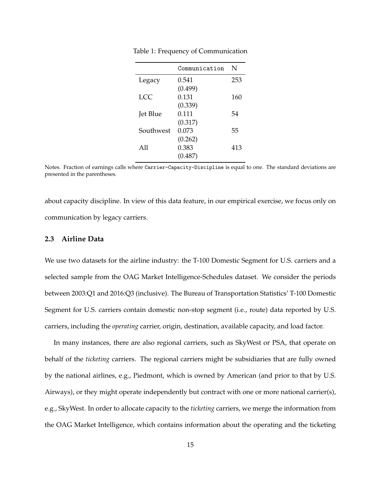|           | Communication | N   |
|-----------|---------------|-----|
| Legacy    | 0.541         | 253 |
|           | (0.499)       |     |
| LCC       | 0.131         | 160 |
|           | (0.339)       |     |
| Jet Blue  | 0.111         | 54  |
|           | (0.317)       |     |
| Southwest | 0.073         | 55  |
|           | (0.262)       |     |
| A11       | 0.383         | 413 |
|           | (0.487)       |     |

<span id="page-14-1"></span>Table 1: Frequency of Communication

Notes. Fraction of earnings calls where Carrier-Capacity-Discipline is equal to one. The standard deviations are presented in the parentheses.

about capacity discipline. In view of this data feature, in our empirical exercise, we focus only on communication by legacy carriers.

### <span id="page-14-0"></span>**2.3 Airline Data**

We use two datasets for the airline industry: the T-100 Domestic Segment for U.S. carriers and a selected sample from the OAG Market Intelligence-Schedules dataset. We consider the periods between 2003:Q1 and 2016:Q3 (inclusive). The Bureau of Transportation Statistics' T-100 Domestic Segment for U.S. carriers contain domestic non-stop segment (i.e., route) data reported by U.S. carriers, including the *operating* carrier, origin, destination, available capacity, and load factor.

In many instances, there are also regional carriers, such as SkyWest or PSA, that operate on behalf of the *ticketing* carriers. The regional carriers might be subsidiaries that are fully owned by the national airlines, e.g., Piedmont, which is owned by American (and prior to that by U.S. Airways), or they might operate independently but contract with one or more national carrier(s), e.g., SkyWest. In order to allocate capacity to the *ticketing* carriers, we merge the information from the OAG Market Intelligence, which contains information about the operating and the ticketing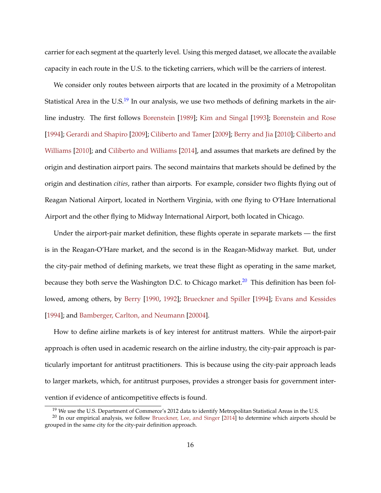<span id="page-15-2"></span>carrier for each segment at the quarterly level. Using this merged dataset, we allocate the available capacity in each route in the U.S. to the ticketing carriers, which will be the carriers of interest.

We consider only routes between airports that are located in the proximity of a Metropolitan Statistical Area in the U.S. $^{19}$  $^{19}$  $^{19}$  In our analysis, we use two methods of defining markets in the airline industry. The first follows [Borenstein](#page-52-3) [\[1989\]](#page-52-3); [Kim and Singal](#page-56-8) [\[1993\]](#page-56-8); [Borenstein and Rose](#page-52-4) [\[1994\]](#page-52-4); [Gerardi and Shapiro](#page-54-7) [\[2009\]](#page-54-7); [Ciliberto and Tamer](#page-53-3) [\[2009\]](#page-53-3); [Berry and Jia](#page-52-1) [\[2010\]](#page-52-1); [Ciliberto and](#page-53-4) [Williams](#page-53-4) [\[2010\]](#page-53-4); and [Ciliberto and Williams](#page-53-1) [\[2014\]](#page-53-1), and assumes that markets are defined by the origin and destination airport pairs. The second maintains that markets should be defined by the origin and destination *cities*, rather than airports. For example, consider two flights flying out of Reagan National Airport, located in Northern Virginia, with one flying to O'Hare International Airport and the other flying to Midway International Airport, both located in Chicago.

Under the airport-pair market definition, these flights operate in separate markets — the first is in the Reagan-O'Hare market, and the second is in the Reagan-Midway market. But, under the city-pair method of defining markets, we treat these flight as operating in the same market, because they both serve the Washington D.C. to Chicago market. $^{20}$  $^{20}$  $^{20}$  This definition has been followed, among others, by [Berry](#page-52-5) [\[1990,](#page-52-5) [1992\]](#page-52-6); [Brueckner and Spiller](#page-53-5) [\[1994\]](#page-53-5); [Evans and Kessides](#page-54-8) [\[1994\]](#page-54-8); and [Bamberger, Carlton, and Neumann](#page-51-7) [\[20004\]](#page-51-7).

How to define airline markets is of key interest for antitrust matters. While the airport-pair approach is often used in academic research on the airline industry, the city-pair approach is particularly important for antitrust practitioners. This is because using the city-pair approach leads to larger markets, which, for antitrust purposes, provides a stronger basis for government intervention if evidence of anticompetitive effects is found.

<span id="page-15-1"></span><span id="page-15-0"></span><sup>&</sup>lt;sup>19</sup> We use the U.S. Department of Commerce's 2012 data to identify Metropolitan Statistical Areas in the U.S.

<sup>&</sup>lt;sup>20</sup> In our empirical analysis, we follow [Brueckner, Lee, and Singer](#page-53-6) [\[2014\]](#page-53-6) to determine which airports should be grouped in the same city for the city-pair definition approach.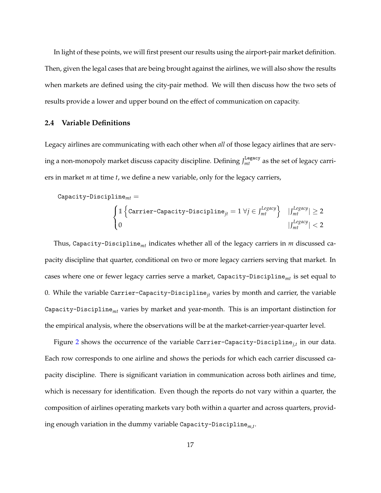In light of these points, we will first present our results using the airport-pair market definition. Then, given the legal cases that are being brought against the airlines, we will also show the results when markets are defined using the city-pair method. We will then discuss how the two sets of results provide a lower and upper bound on the effect of communication on capacity.

### <span id="page-16-0"></span>**2.4 Variable Definitions**

Legacy airlines are communicating with each other when *all* of those legacy airlines that are serving a non-monopoly market discuss capacity discipline. Defining  $\int_{mt}^{\text{Legacy}}$  as the set of legacy carriers in market *m* at time *t*, we define a new variable, only for the legacy carriers,

Capacity-Discipline<sub>mt</sub> =

\n
$$
\begin{cases}\n\mathbb{1} \left\{ \text{Carrier-Capacity-Discipline}_{jt} = 1 \,\forall j \in J_{mt}^{Legacy} \right\} & |J_{mt}^{Legacy}| \geq 2 \\
0 & |J_{mt}^{Legacy}| < 2\n\end{cases}
$$

Thus, Capacity-Discipline*mt* indicates whether all of the legacy carriers in *m* discussed capacity discipline that quarter, conditional on two or more legacy carriers serving that market. In cases where one or fewer legacy carries serve a market, Capacity-Discipline*mt* is set equal to 0. While the variable Carrier-Capacity-Discipline*jt* varies by month and carrier, the variable Capacity-Discipline*mt* varies by market and year-month. This is an important distinction for the empirical analysis, where the observations will be at the market-carrier-year-quarter level.

Figure [2](#page-17-0) shows the occurrence of the variable Carrier-Capacity-Discipline*j*,*<sup>t</sup>* in our data. Each row corresponds to one airline and shows the periods for which each carrier discussed capacity discipline. There is significant variation in communication across both airlines and time, which is necessary for identification. Even though the reports do not vary within a quarter, the composition of airlines operating markets vary both within a quarter and across quarters, providing enough variation in the dummy variable Capacity-Discipline*m*,*<sup>t</sup>* .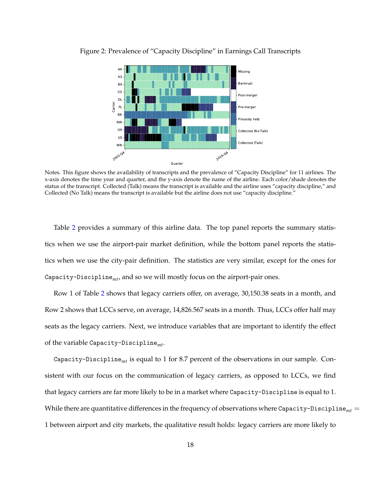

<span id="page-17-0"></span>Figure 2: Prevalence of "Capacity Discipline" in Earnings Call Transcripts

Notes. This figure shows the availability of transcripts and the prevalence of "Capacity Discipline" for 11 airlines. The x-axis denotes the time year and quarter, and the y-axis denote the name of the airline. Each color/shade denotes the status of the transcript. Collected (Talk) means the transcript is available and the airline uses "capacity discipline," and Collected (No Talk) means the transcript is available but the airline does not use "capacity discipline."

Table [2](#page-18-0) provides a summary of this airline data. The top panel reports the summary statistics when we use the airport-pair market definition, while the bottom panel reports the statistics when we use the city-pair definition. The statistics are very similar, except for the ones for Capacity-Discipline*mt*, and so we will mostly focus on the airport-pair ones.

Row 1 of Table [2](#page-18-0) shows that legacy carriers offer, on average, 30,150.38 seats in a month, and Row 2 shows that LCCs serve, on average, 14,826.567 seats in a month. Thus, LCCs offer half may seats as the legacy carriers. Next, we introduce variables that are important to identify the effect of the variable Capacity-Discipline*mt*.

Capacity-Discipline*mt* is equal to 1 for 8.7 percent of the observations in our sample. Consistent with our focus on the communication of legacy carriers, as opposed to LCCs, we find that legacy carriers are far more likely to be in a market where Capacity-Discipline is equal to 1. While there are quantitative differences in the frequency of observations where Capacity-Discipline<sub>mt</sub> = 1 between airport and city markets, the qualitative result holds: legacy carriers are more likely to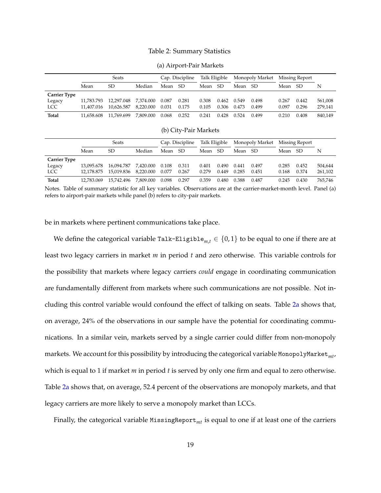### Table 2: Summary Statistics

<span id="page-18-0"></span>

|                     |            | <b>Seats</b> |           |       | Cap. Discipline | Talk Eligible |       |       | Monopoly Market |       | Missing Report |         |
|---------------------|------------|--------------|-----------|-------|-----------------|---------------|-------|-------|-----------------|-------|----------------|---------|
|                     | Mean       | <b>SD</b>    | Median    | Mean  | -SD             | Mean          | SD.   | Mean  | SD.             | Mean  | SD.            | N       |
| <b>Carrier Type</b> |            |              |           |       |                 |               |       |       |                 |       |                |         |
| Legacy              | 11.783.793 | 12.297.048   | 7.374.000 | 0.087 | 0.281           | 0.308         | 0.462 | 0.549 | 0.498           | 0.267 | 0.442          | 561,008 |
| LCC                 | 11.407.016 | 10.626.587   | 8,220.000 | 0.031 | 0.175           | 0.105         | 0.306 | 0.473 | 0.499           | 0.097 | 0.296          | 279,141 |
| Total               | 11.658.608 | 11.769.699   | 7.809.000 | 0.068 | 0.252           | 0.241         | 0.428 | 0.524 | 0.499           | 0.210 | 0.408          | 840,149 |

(a) Airport-Pair Markets

| (b) City-Pair Markets |  |  |
|-----------------------|--|--|
|                       |  |  |

|                     |            | Seats      |           |       | Cap. Discipline |       | Talk Eligible |       | Monopoly Market |       | Missing Report |         |
|---------------------|------------|------------|-----------|-------|-----------------|-------|---------------|-------|-----------------|-------|----------------|---------|
|                     | Mean       | SD.        | Median    | Mean  | SD.             | Mean  | SD.           | Mean  | -SD             | Mean  | <sub>SD</sub>  | N       |
| <b>Carrier Type</b> |            |            |           |       |                 |       |               |       |                 |       |                |         |
| Legacy              | 13.095.678 | 16.094.787 | 7.420.000 | 0.108 | 0.311           | 0.401 | 0.490         | 0.441 | 0.497           | 0.285 | 0.452          | 504.644 |
| <b>LCC</b>          | 12.178.875 | 15,019.836 | 8,220.000 | 0.077 | 0.267           | 0.279 | 0.449         | 0.285 | 0.451           | 0.168 | 0.374          | 261,102 |
| Total               | 12.783.069 | 15.742.496 | 7.809.000 | 0.098 | 0.297           | 0.359 | 0.480         | 0.388 | 0.487           | 0.245 | 0.430          | 765,746 |

Notes. Table of summary statistic for all key variables. Observations are at the carrier-market-month level. Panel (a) refers to airport-pair markets while panel (b) refers to city-pair markets.

be in markets where pertinent communications take place.

We define the categorical variable Talk-Eligible<sub>m, $t \in \{0,1\}$  to be equal to one if there are at</sub> least two legacy carriers in market *m* in period *t* and zero otherwise. This variable controls for the possibility that markets where legacy carriers *could* engage in coordinating communication are fundamentally different from markets where such communications are not possible. Not including this control variable would confound the effect of talking on seats. Table [2a](#page-18-0) shows that, on average, 24% of the observations in our sample have the potential for coordinating communications. In a similar vein, markets served by a single carrier could differ from non-monopoly markets. We account for this possibility by introducing the categorical variable MonopolyMarket*mt*, which is equal to 1 if market *m* in period *t* is served by only one firm and equal to zero otherwise. Table [2a](#page-18-0) shows that, on average, 52.4 percent of the observations are monopoly markets, and that legacy carriers are more likely to serve a monopoly market than LCCs.

Finally, the categorical variable MissingReport<sub>mt</sub> is equal to one if at least one of the carriers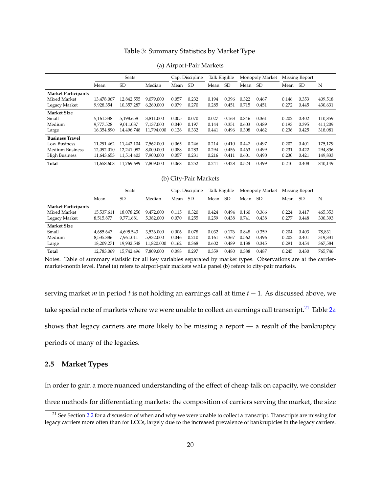### Table 3: Summary Statistics by Market Type

<span id="page-19-1"></span>

|                            |            | Seats      |            |       | Talk Eligible<br>Cap. Discipline |       | Monopoly Market |       | Missing Report |       |           |         |
|----------------------------|------------|------------|------------|-------|----------------------------------|-------|-----------------|-------|----------------|-------|-----------|---------|
|                            | Mean       | <b>SD</b>  | Median     | Mean  | <b>SD</b>                        | Mean  | <b>SD</b>       | Mean  | SD.            | Mean  | <b>SD</b> | N       |
| <b>Market Participants</b> |            |            |            |       |                                  |       |                 |       |                |       |           |         |
| Mixed Market               | 13.478.067 | 12,842.555 | 9.079.000  | 0.057 | 0.232                            | 0.194 | 0.396           | 0.322 | 0.467          | 0.146 | 0.353     | 409,518 |
| Legacy Market              | 9,928.354  | 10.357.287 | 6.260.000  | 0.079 | 0.270                            | 0.285 | 0.451           | 0.715 | 0.451          | 0.272 | 0.445     | 430,631 |
| <b>Market Size</b>         |            |            |            |       |                                  |       |                 |       |                |       |           |         |
| Small                      | 5.161.338  | 5.198.658  | 3.811.000  | 0.005 | 0.070                            | 0.027 | 0.163           | 0.846 | 0.361          | 0.202 | 0.402     | 110,859 |
| Medium                     | 9.777.528  | 9.011.037  | 7.137.000  | 0.040 | 0.197                            | 0.144 | 0.351           | 0.603 | 0.489          | 0.193 | 0.395     | 411,209 |
| Large                      | 16,354.890 | 14.496.748 | 11.794.000 | 0.126 | 0.332                            | 0.441 | 0.496           | 0.308 | 0.462          | 0.236 | 0.425     | 318,081 |
| <b>Business Travel</b>     |            |            |            |       |                                  |       |                 |       |                |       |           |         |
| Low Business               | 11.291.462 | 11.442.104 | 7.562.000  | 0.065 | 0.246                            | 0.214 | 0.410           | 0.447 | 0.497          | 0.202 | 0.401     | 175,179 |
| Medium Business            | 12.092.010 | 12.241.082 | 8.000.000  | 0.088 | 0.283                            | 0.294 | 0.456           | 0.463 | 0.499          | 0.231 | 0.422     | 294,836 |
| <b>High Business</b>       | 11,643.653 | 11.514.403 | 7.900.000  | 0.057 | 0.231                            | 0.216 | 0.411           | 0.601 | 0.490          | 0.230 | 0.421     | 149,833 |
| <b>Total</b>               | 11.658.608 | 11.769.699 | 7.809.000  | 0.068 | 0.252                            | 0.241 | 0.428           | 0.524 | 0.499          | 0.210 | 0.408     | 840,149 |

#### (a) Airport-Pair Markets

#### (b) City-Pair Markets

|                            | Seats      |            |            | Cap. Discipline |       | Talk Eligible |           | Monopoly Market |       | Missing Report |       |         |
|----------------------------|------------|------------|------------|-----------------|-------|---------------|-----------|-----------------|-------|----------------|-------|---------|
|                            | Mean       | SD.        | Median     | Mean            | SD.   | Mean          | <b>SD</b> | Mean            | SD.   | Mean           | SD    | N       |
| <b>Market Participants</b> |            |            |            |                 |       |               |           |                 |       |                |       |         |
| Mixed Market               | 15.537.611 | 18.078.250 | 9.472.000  | 0.115           | 0.320 | 0.424         | 0.494     | 0.160           | 0.366 | 0.224          | 0.417 | 465,353 |
| Legacy Market              | 8,515.877  | 9.771.681  | 5.382.000  | 0.070           | 0.255 | 0.259         | 0.438     | 0.741           | 0.438 | 0.277          | 0.448 | 300,393 |
| <b>Market Size</b>         |            |            |            |                 |       |               |           |                 |       |                |       |         |
| Small                      | 4.685.647  | 4.695.543  | 3.536.000  | 0.006           | 0.078 | 0.032         | 0.176     | 0.848           | 0.359 | 0.204          | 0.403 | 78,831  |
| Medium                     | 8.535.886  | 7.961.011  | 5.932.000  | 0.046           | 0.210 | 0.161         | 0.367     | 0.562           | 0.496 | 0.202          | 0.401 | 319,331 |
| Large                      | 18.209.271 | 19.932.548 | 11.820.000 | 0.162           | 0.368 | 0.602         | 0.489     | 0.138           | 0.345 | 0.291          | 0.454 | 367,584 |
| <b>Total</b>               | 12.783.069 | 15.742.496 | 7.809.000  | 0.098           | 0.297 | 0.359         | 0.480     | 0.388           | 0.487 | 0.245          | 0.430 | 765,746 |

Notes. Table of summary statistic for all key variables separated by market types. Observations are at the carriermarket-month level. Panel (a) refers to airport-pair markets while panel (b) refers to city-pair markets.

serving market *m* in period *t* is not holding an earnings call at time *t* − 1. As discussed above, we take special note of markets where we were unable to collect an earnings call transcript.<sup>[21](#page-19-0)</sup> Table [2a](#page-18-0) shows that legacy carriers are more likely to be missing a report — a result of the bankruptcy periods of many of the legacies.

### **2.5 Market Types**

In order to gain a more nuanced understanding of the effect of cheap talk on capacity, we consider

three methods for differentiating markets: the composition of carriers serving the market, the size

<span id="page-19-0"></span><sup>&</sup>lt;sup>21</sup> See Section [2.2](#page-9-0) for a discussion of when and why we were unable to collect a transcript. Transcripts are missing for legacy carriers more often than for LCCs, largely due to the increased prevalence of bankruptcies in the legacy carriers.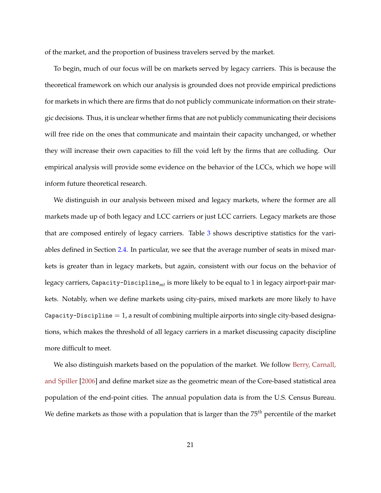<span id="page-20-0"></span>of the market, and the proportion of business travelers served by the market.

To begin, much of our focus will be on markets served by legacy carriers. This is because the theoretical framework on which our analysis is grounded does not provide empirical predictions for markets in which there are firms that do not publicly communicate information on their strategic decisions. Thus, it is unclear whether firms that are not publicly communicating their decisions will free ride on the ones that communicate and maintain their capacity unchanged, or whether they will increase their own capacities to fill the void left by the firms that are colluding. Our empirical analysis will provide some evidence on the behavior of the LCCs, which we hope will inform future theoretical research.

We distinguish in our analysis between mixed and legacy markets, where the former are all markets made up of both legacy and LCC carriers or just LCC carriers. Legacy markets are those that are composed entirely of legacy carriers. Table [3](#page-19-1) shows descriptive statistics for the variables defined in Section [2.4.](#page-16-0) In particular, we see that the average number of seats in mixed markets is greater than in legacy markets, but again, consistent with our focus on the behavior of legacy carriers, Capacity-Discipline*mt* is more likely to be equal to 1 in legacy airport-pair markets. Notably, when we define markets using city-pairs, mixed markets are more likely to have Capacity-Discipline  $= 1$ , a result of combining multiple airports into single city-based designations, which makes the threshold of all legacy carriers in a market discussing capacity discipline more difficult to meet.

We also distinguish markets based on the population of the market. We follow [Berry, Carnall,](#page-52-0) [and Spiller](#page-52-0) [\[2006\]](#page-52-0) and define market size as the geometric mean of the Core-based statistical area population of the end-point cities. The annual population data is from the U.S. Census Bureau. We define markets as those with a population that is larger than the 75*th* percentile of the market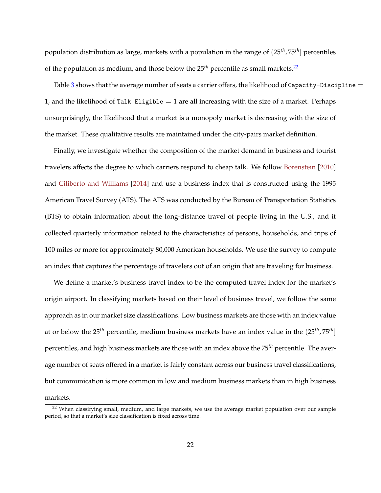<span id="page-21-1"></span>population distribution as large, markets with a population in the range of (25*th*, 75*th*] percentiles of the population as medium, and those below the  $25<sup>th</sup>$  percentile as small markets.<sup>[22](#page-21-0)</sup>

Table [3](#page-19-1) shows that the average number of seats a carrier offers, the likelihood of Capacity-Discipline  $=$ 1, and the likelihood of Talk Eligible  $= 1$  are all increasing with the size of a market. Perhaps unsurprisingly, the likelihood that a market is a monopoly market is decreasing with the size of the market. These qualitative results are maintained under the city-pairs market definition.

Finally, we investigate whether the composition of the market demand in business and tourist travelers affects the degree to which carriers respond to cheap talk. We follow [Borenstein](#page-52-7) [\[2010\]](#page-52-7) and [Ciliberto and Williams](#page-53-1) [\[2014\]](#page-53-1) and use a business index that is constructed using the 1995 American Travel Survey (ATS). The ATS was conducted by the Bureau of Transportation Statistics (BTS) to obtain information about the long-distance travel of people living in the U.S., and it collected quarterly information related to the characteristics of persons, households, and trips of 100 miles or more for approximately 80,000 American households. We use the survey to compute an index that captures the percentage of travelers out of an origin that are traveling for business.

We define a market's business travel index to be the computed travel index for the market's origin airport. In classifying markets based on their level of business travel, we follow the same approach as in our market size classifications. Low business markets are those with an index value at or below the 25*th* percentile, medium business markets have an index value in the (25*th*, 75*th*] percentiles, and high business markets are those with an index above the 75*th* percentile. The average number of seats offered in a market is fairly constant across our business travel classifications, but communication is more common in low and medium business markets than in high business markets.

<span id="page-21-0"></span><sup>&</sup>lt;sup>22</sup> When classifying small, medium, and large markets, we use the average market population over our sample period, so that a market's size classification is fixed across time.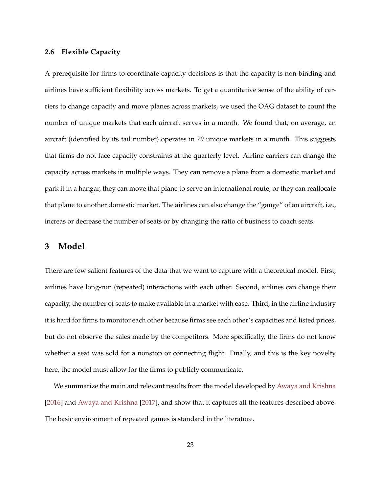### <span id="page-22-1"></span>**2.6 Flexible Capacity**

A prerequisite for firms to coordinate capacity decisions is that the capacity is non-binding and airlines have sufficient flexibility across markets. To get a quantitative sense of the ability of carriers to change capacity and move planes across markets, we used the OAG dataset to count the number of unique markets that each aircraft serves in a month. We found that, on average, an aircraft (identified by its tail number) operates in *79* unique markets in a month. This suggests that firms do not face capacity constraints at the quarterly level. Airline carriers can change the capacity across markets in multiple ways. They can remove a plane from a domestic market and park it in a hangar, they can move that plane to serve an international route, or they can reallocate that plane to another domestic market. The airlines can also change the "gauge" of an aircraft, i.e., increas or decrease the number of seats or by changing the ratio of business to coach seats.

## <span id="page-22-0"></span>**3 Model**

There are few salient features of the data that we want to capture with a theoretical model. First, airlines have long-run (repeated) interactions with each other. Second, airlines can change their capacity, the number of seats to make available in a market with ease. Third, in the airline industry it is hard for firms to monitor each other because firms see each other's capacities and listed prices, but do not observe the sales made by the competitors. More specifically, the firms do not know whether a seat was sold for a nonstop or connecting flight. Finally, and this is the key novelty here, the model must allow for the firms to publicly communicate.

We summarize the main and relevant results from the model developed by [Awaya and Krishna](#page-51-0) [\[2016\]](#page-51-0) and [Awaya and Krishna](#page-51-1) [\[2017\]](#page-51-1), and show that it captures all the features described above. The basic environment of repeated games is standard in the literature.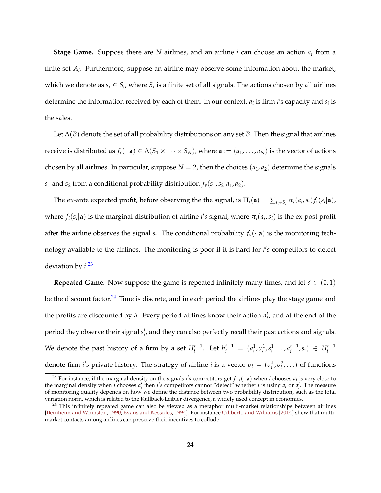<span id="page-23-2"></span>**Stage Game.** Suppose there are *N* airlines, and an airline *i* can choose an action *a<sup>i</sup>* from a finite set *A<sup>i</sup>* . Furthermore, suppose an airline may observe some information about the market, which we denote as  $s_i \in S_i$ , where  $S_i$  is a finite set of all signals. The actions chosen by all airlines determine the information received by each of them. In our context*,*  $a_i$  is firm *i'*s capacity and  $s_i$  is the sales.

Let ∆(*B*) denote the set of all probability distributions on any set *B*. Then the signal that airlines receive is distributed as  $f_s(\cdot|\mathbf{a}) \in \Delta(S_1 \times \cdots \times S_N)$ , where  $\mathbf{a} := (a_1, \ldots, a_N)$  is the vector of actions chosen by all airlines. In particular, suppose  $N = 2$ , then the choices  $(a_1, a_2)$  determine the signals *s*<sub>1</sub> and *s*<sub>2</sub> from a conditional probability distribution  $f_s(s_1, s_2|a_1, a_2)$ .

The ex-ante expected profit, before observing the the signal, is  $\Pi_i(\mathbf{a}) = \sum_{s_i \in S_i} \pi_i(a_i, s_i) f_i(s_i|\mathbf{a})$ , where  $f_i(s_i | \mathbf{a})$  is the marginal distribution of airline *i's* signal, where  $\pi_i(a_i, s_i)$  is the ex-post profit after the airline observes the signal  $s_i$ . The conditional probability  $f_s(\cdot|\mathbf{a})$  is the monitoring technology available to the airlines. The monitoring is poor if it is hard for *i's* competitors to detect deviation by *i*. [23](#page-23-0)

**Repeated Game.** Now suppose the game is repeated infinitely many times, and let  $\delta \in (0,1)$ be the discount factor.<sup>[24](#page-23-1)</sup> Time is discrete, and in each period the airlines play the stage game and the profits are discounted by  $\delta$ . Every period airlines know their action  $a_i^t$ , and at the end of the period they observe their signal  $s_i^t$ , and they can also perfectly recall their past actions and signals. We denote the past history of a firm by a set  $H_i^{t-1}$ . Let  $h_i^{t-1} = (a_i^1, \sigma_i^1, s_i^1, \ldots, a_i^{t-1}, s_i) \in H_i^{t-1}$ denote firm *i's* private history. The strategy of airline *i* is a vector  $\sigma_i = (\sigma_i^1, \sigma_i^2, \ldots)$  of functions

<span id="page-23-0"></span><sup>&</sup>lt;sup>23</sup> For instance, if the marginal density on the signals *i's* competitors get  $f_{-i}(\cdot|\mathbf{a})$  when *i* chooses  $a_i$  is very close to the marginal density when *i* chooses  $a'_i$  then *i's* competitors cannot "detect" whether *i* is using  $a_i$  or  $a'_i$ . The measure of monitoring quality depends on how we define the distance between two probability distribution, such as the total variation norm, which is related to the Kullback-Leibler divergence, a widely used concept in economics.

<span id="page-23-1"></span><sup>&</sup>lt;sup>24</sup> This infinitely repeated game can also be viewed as a metaphor multi-market relationships between airlines [\[Bernheim and Whinston,](#page-52-8) [1990;](#page-52-8) [Evans and Kessides,](#page-54-8) [1994\]](#page-54-8). For instance [Ciliberto and Williams](#page-53-1) [\[2014\]](#page-53-1) show that multimarket contacts among airlines can preserve their incentives to collude.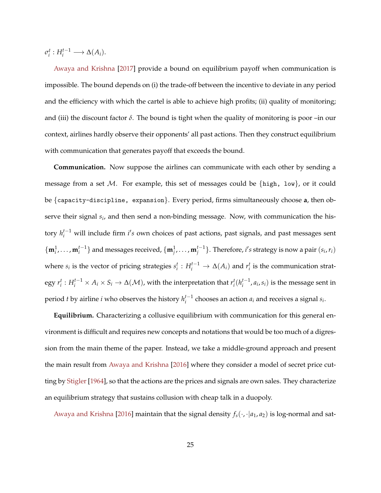<span id="page-24-0"></span> $\sigma_i^t: H_i^{t-1} \longrightarrow \Delta(A_i).$ 

[Awaya and Krishna](#page-51-1) [\[2017\]](#page-51-1) provide a bound on equilibrium payoff when communication is impossible. The bound depends on (i) the trade-off between the incentive to deviate in any period and the efficiency with which the cartel is able to achieve high profits; (ii) quality of monitoring; and (iii) the discount factor  $\delta$ . The bound is tight when the quality of monitoring is poor –in our context, airlines hardly observe their opponents' all past actions. Then they construct equilibrium with communication that generates payoff that exceeds the bound.

**Communication.** Now suppose the airlines can communicate with each other by sending a message from a set M. For example, this set of messages could be  $\{high, low\}$ , or it could be {capacity-discipline, expansion}. Every period, firms simultaneously choose **a**, then observe their signal *s<sup>i</sup>* , and then send a non-binding message. Now, with communication the history *h*<sup> $t-1$ </sup> will include firm *i's* own choices of past actions, past signals, and past messages sent  $\{\mathbf{m}_i^1,\ldots,\mathbf{m}_i^{t-1}\}\$  and messages received,  $\{\mathbf{m}_j^1,\ldots,\mathbf{m}_j^{t-1}\}\$ . Therefore, *i's* strategy is now a pair  $(s_i,r_i)$ where  $s_i$  is the vector of pricing strategies  $s_i^t: H_i^{t-1} \to \Delta(A_i)$  and  $r_i^t$  is the communication strategy  $r_i^t: H_i^{t-1}\times A_i\times S_i\to \Delta(\mathcal M)$ , with the interpretation that  $r_i^t(h_i^{t-1},a_i,s_i)$  is the message sent in period *t* by airline *i* who observes the history  $h_i^{t-1}$  chooses an action  $a_i$  and receives a signal  $s_i$ .

**Equilibrium.** Characterizing a collusive equilibrium with communication for this general environment is difficult and requires new concepts and notations that would be too much of a digression from the main theme of the paper. Instead, we take a middle-ground approach and present the main result from [Awaya and Krishna](#page-51-0) [\[2016\]](#page-51-0) where they consider a model of secret price cutting by [Stigler](#page-58-3) [\[1964\]](#page-58-3), so that the actions are the prices and signals are own sales. They characterize an equilibrium strategy that sustains collusion with cheap talk in a duopoly.

[Awaya and Krishna](#page-51-0) [\[2016\]](#page-51-0) maintain that the signal density *fs*(·, ·|*a*1, *a*2) is log-normal and sat-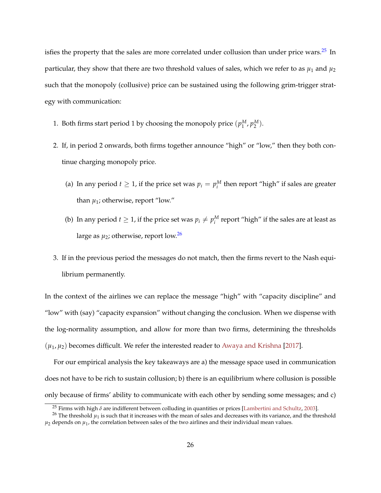<span id="page-25-2"></span>isfies the property that the sales are more correlated under collusion than under price wars.<sup>[25](#page-25-0)</sup> In particular, they show that there are two threshold values of sales, which we refer to as  $\mu_1$  and  $\mu_2$ such that the monopoly (collusive) price can be sustained using the following grim-trigger strategy with communication:

- 1. Both firms start period 1 by choosing the monopoly price  $(p_1^M, p_2^M)$ .
- 2. If, in period 2 onwards, both firms together announce "high" or "low," then they both continue charging monopoly price.
	- (a) In any period  $t \geq 1$ , if the price set was  $p_i = p_i^M$  then report "high" if sales are greater than  $\mu_1$ ; otherwise, report "low."
	- (b) In any period  $t \geq 1$ , if the price set was  $p_i \neq p_i^M$  report "high" if the sales are at least as large as  $\mu_2$ ; otherwise, report low.<sup>[26](#page-25-1)</sup>
- 3. If in the previous period the messages do not match, then the firms revert to the Nash equilibrium permanently.

In the context of the airlines we can replace the message "high" with "capacity discipline" and "low" with (say) "capacity expansion" without changing the conclusion. When we dispense with the log-normality assumption, and allow for more than two firms, determining the thresholds  $(\mu_1, \mu_2)$  becomes difficult. We refer the interested reader to [Awaya and Krishna](#page-51-1) [\[2017\]](#page-51-1).

For our empirical analysis the key takeaways are a) the message space used in communication does not have to be rich to sustain collusion; b) there is an equilibrium where collusion is possible only because of firms' ability to communicate with each other by sending some messages; and c)

<span id="page-25-1"></span><span id="page-25-0"></span><sup>&</sup>lt;sup>25</sup> Firms with high  $\delta$  are indifferent between colluding in quantities or prices [\[Lambertini and Schultz,](#page-56-9) [2003\]](#page-56-9).

 $^{26}$  The threshold  $\mu_1$  is such that it increases with the mean of sales and decreases with its variance, and the threshold  $\mu_2$  depends on  $\mu_1$ , the correlation between sales of the two airlines and their individual mean values.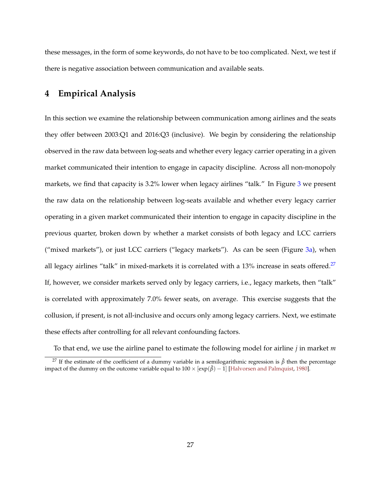<span id="page-26-2"></span>these messages, in the form of some keywords, do not have to be too complicated. Next, we test if there is negative association between communication and available seats.

## <span id="page-26-0"></span>**4 Empirical Analysis**

In this section we examine the relationship between communication among airlines and the seats they offer between 2003:Q1 and 2016:Q3 (inclusive). We begin by considering the relationship observed in the raw data between log-seats and whether every legacy carrier operating in a given market communicated their intention to engage in capacity discipline. Across all non-monopoly markets, we find that capacity is [3](#page-27-0).2% lower when legacy airlines "talk." In Figure 3 we present the raw data on the relationship between log-seats available and whether every legacy carrier operating in a given market communicated their intention to engage in capacity discipline in the previous quarter, broken down by whether a market consists of both legacy and LCC carriers ("mixed markets"), or just LCC carriers ("legacy markets"). As can be seen (Figure  $3a$ ), when all legacy airlines "talk" in mixed-markets it is correlated with a 13% increase in seats offered.<sup>[27](#page-26-1)</sup> If, however, we consider markets served only by legacy carriers, i.e., legacy markets, then "talk" is correlated with approximately 7.0% fewer seats, on average. This exercise suggests that the collusion, if present, is not all-inclusive and occurs only among legacy carriers. Next, we estimate these effects after controlling for all relevant confounding factors.

<span id="page-26-1"></span>To that end, we use the airline panel to estimate the following model for airline *j* in market *m*

<sup>27</sup> If the estimate of the coefficient of a dummy variable in a semilogarithmic regression is *β*ˆ then the percentage impact of the dummy on the outcome variable equal to  $100 \times [\exp(\hat{\beta}) - 1]$  [\[Halvorsen and Palmquist,](#page-55-7) [1980\]](#page-55-7).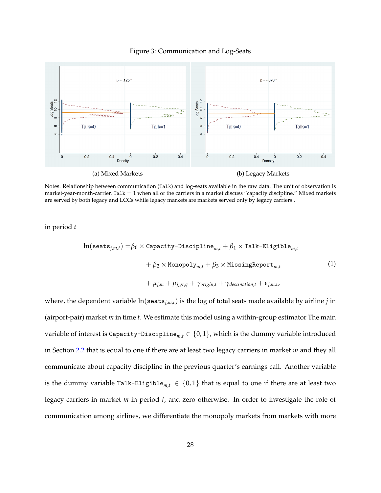

<span id="page-27-0"></span>

Notes. Relationship between communication (Talk) and log-seats available in the raw data. The unit of observation is market-year-month-carrier. Tal $k = 1$  when all of the carriers in a market discuss "capacity discipline." Mixed markets are served by both legacy and LCCs while legacy markets are markets served only by legacy carriers .

in period *t*

<span id="page-27-1"></span>
$$
\ln(\texttt{seats}_{j,m,t}) = \beta_0 \times \texttt{Capacity-Discipher}_{m,t} + \beta_1 \times \texttt{Talk-Eligible}_{m,t}
$$

$$
+ \beta_2 \times \texttt{Monopoly}_{m,t} + \beta_3 \times \texttt{MissingReport}_{m,t}
$$

$$
+ \mu_{j,m} + \mu_{j,yr,q} + \gamma_{origin,t} + \gamma_{destination,t} + \varepsilon_{j,m,t},
$$

$$
(1)
$$

where, the dependent variable ln(seats*j*,*m*,*t*) is the log of total seats made available by airline *j* in (airport-pair) market *m* in time *t*. We estimate this model using a within-group estimator The main variable of interest is Capacity-Discipline<sub>m, $t \in \{0,1\}$ , which is the dummy variable introduced</sub> in Section [2.2](#page-9-0) that is equal to one if there are at least two legacy carriers in market *m* and they all communicate about capacity discipline in the previous quarter's earnings call. Another variable is the dummy variable Talk-Eligible<sub>m, $t \in \{0,1\}$  that is equal to one if there are at least two</sub> legacy carriers in market *m* in period *t*, and zero otherwise. In order to investigate the role of communication among airlines, we differentiate the monopoly markets from markets with more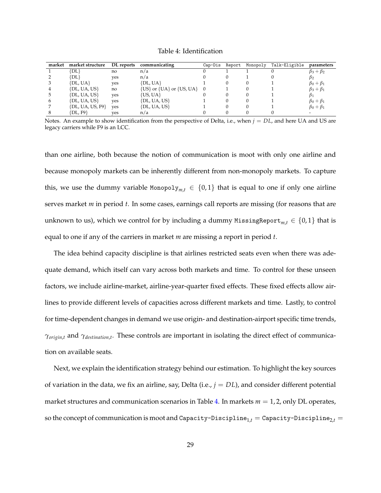Table 4: Identification

<span id="page-28-0"></span>

| market | market structure     | DL reports | communicating                        | Cap-Dis | Report | Monopoly | Talk-Eligible | parameters          |
|--------|----------------------|------------|--------------------------------------|---------|--------|----------|---------------|---------------------|
|        | [DL}                 | no         | n/a                                  |         |        |          |               | $\beta_3+\beta_2$   |
|        | [DL}                 | ves        | n/a                                  |         |        |          |               | $\beta_2$           |
|        | $\{DL, UA\}$         | ves        | $\{DL, UA\}$                         |         |        |          |               | $\beta_0 + \beta_1$ |
|        | $\{DL, UA, US\}$     | no         | $\{US\}$ or $\{UA\}$ or $\{US, UA\}$ |         |        |          |               | $\beta_3 + \beta_1$ |
|        | $\{DL, UA, US\}$     | ves        | {US, UA}                             |         |        |          |               | $\beta_1$           |
|        | $\{DL, UA, US\}$     | ves        | $\{DL, UA, US\}$                     |         |        |          |               | $\beta_0 + \beta_1$ |
|        | $\{DL, UA, US, F9\}$ | ves        | $\{DL, UA, US\}$                     |         |        |          |               | $\beta_0 + \beta_1$ |
|        | [DL, F9}             | ves        | n/a                                  |         |        |          |               |                     |

Notes. An example to show identification from the perspective of Delta, i.e., when  $j = DL$ , and here UA and US are legacy carriers while F9 is an LCC.

than one airline, both because the notion of communication is moot with only one airline and because monopoly markets can be inherently different from non-monopoly markets. To capture this, we use the dummy variable Monopoly<sub>m,t</sub>  $\in \{0,1\}$  that is equal to one if only one airline serves market *m* in period *t*. In some cases, earnings call reports are missing (for reasons that are unknown to us), which we control for by including a dummy MissingReport<sub>m, $t \in \{0, 1\}$  that is</sub> equal to one if any of the carriers in market *m* are missing a report in period *t*.

The idea behind capacity discipline is that airlines restricted seats even when there was adequate demand, which itself can vary across both markets and time. To control for these unseen factors, we include airline-market, airline-year-quarter fixed effects. These fixed effects allow airlines to provide different levels of capacities across different markets and time. Lastly, to control for time-dependent changes in demand we use origin- and destination-airport specific time trends, *γorigin*,*<sup>t</sup>* and *γdestination*,*<sup>t</sup>* . These controls are important in isolating the direct effect of communication on available seats.

Next, we explain the identification strategy behind our estimation. To highlight the key sources of variation in the data, we fix an airline, say, Delta (i.e.,  $j = DL$ ), and consider different potential market structures and communication scenarios in Table [4.](#page-28-0) In markets  $m = 1, 2$ , only DL operates, so the concept of communication is moot and Capacity-Discipline<sub>1,t</sub> = Capacity-Discipline<sub>2,t</sub> =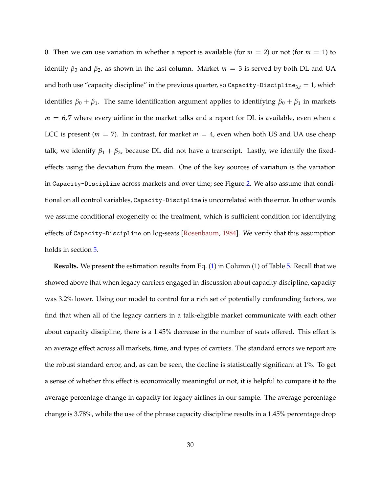<span id="page-29-0"></span>0. Then we can use variation in whether a report is available (for  $m = 2$ ) or not (for  $m = 1$ ) to identify  $β_3$  and  $β_2$ , as shown in the last column. Market  $m = 3$  is served by both DL and UA and both use "capacity discipline" in the previous quarter, so Capacity-Discipline<sub>3, $t$ </sub> = 1, which identifies  $\beta_0 + \beta_1$ . The same identification argument applies to identifying  $\beta_0 + \beta_1$  in markets  $m = 6.7$  where every airline in the market talks and a report for DL is available, even when a LCC is present ( $m = 7$ ). In contrast, for market  $m = 4$ , even when both US and UA use cheap talk, we identify  $\beta_1 + \beta_3$ , because DL did not have a transcript. Lastly, we identify the fixedeffects using the deviation from the mean. One of the key sources of variation is the variation in Capacity-Discipline across markets and over time; see Figure [2.](#page-17-0) We also assume that conditional on all control variables, Capacity-Discipline is uncorrelated with the error. In other words we assume conditional exogeneity of the treatment, which is sufficient condition for identifying effects of Capacity-Discipline on log-seats [\[Rosenbaum,](#page-57-5) [1984\]](#page-57-5). We verify that this assumption holds in section [5.](#page-38-0)

**Results.** We present the estimation results from Eq. [\(1\)](#page-27-1) in Column (1) of Table [5.](#page-31-0) Recall that we showed above that when legacy carriers engaged in discussion about capacity discipline, capacity was 3.2% lower. Using our model to control for a rich set of potentially confounding factors, we find that when all of the legacy carriers in a talk-eligible market communicate with each other about capacity discipline, there is a 1.45% decrease in the number of seats offered. This effect is an average effect across all markets, time, and types of carriers. The standard errors we report are the robust standard error, and, as can be seen, the decline is statistically significant at 1%. To get a sense of whether this effect is economically meaningful or not, it is helpful to compare it to the average percentage change in capacity for legacy airlines in our sample. The average percentage change is 3.78%, while the use of the phrase capacity discipline results in a 1.45% percentage drop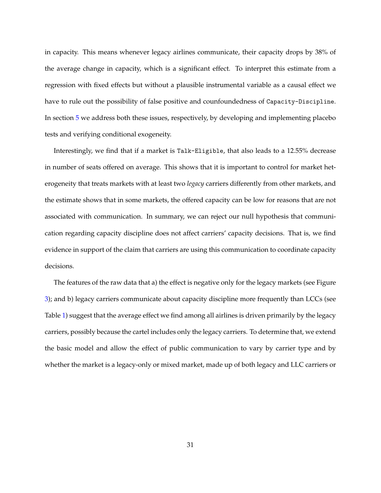in capacity. This means whenever legacy airlines communicate, their capacity drops by 38% of the average change in capacity, which is a significant effect. To interpret this estimate from a regression with fixed effects but without a plausible instrumental variable as a causal effect we have to rule out the possibility of false positive and counfoundedness of Capacity-Discipline. In section [5](#page-38-0) we address both these issues, respectively, by developing and implementing placebo tests and verifying conditional exogeneity.

Interestingly, we find that if a market is Talk-Eligible, that also leads to a 12.55% decrease in number of seats offered on average. This shows that it is important to control for market heterogeneity that treats markets with at least two *legacy* carriers differently from other markets, and the estimate shows that in some markets, the offered capacity can be low for reasons that are not associated with communication. In summary, we can reject our null hypothesis that communication regarding capacity discipline does not affect carriers' capacity decisions. That is, we find evidence in support of the claim that carriers are using this communication to coordinate capacity decisions.

The features of the raw data that a) the effect is negative only for the legacy markets (see Figure [3\)](#page-27-0); and b) legacy carriers communicate about capacity discipline more frequently than LCCs (see Table [1\)](#page-14-1) suggest that the average effect we find among all airlines is driven primarily by the legacy carriers, possibly because the cartel includes only the legacy carriers. To determine that, we extend the basic model and allow the effect of public communication to vary by carrier type and by whether the market is a legacy-only or mixed market, made up of both legacy and LLC carriers or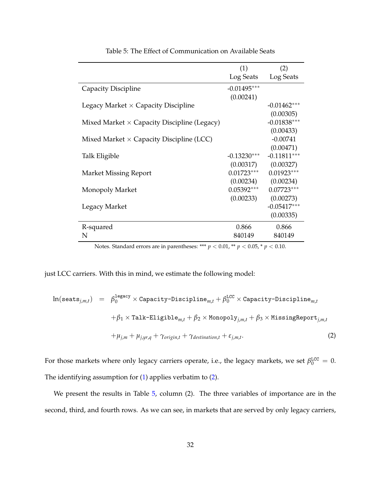<span id="page-31-0"></span>

|                                                                                         | (1)           | (2)                 |
|-----------------------------------------------------------------------------------------|---------------|---------------------|
|                                                                                         |               | Log Seats Log Seats |
| Capacity Discipline                                                                     | $-0.01495***$ |                     |
|                                                                                         | (0.00241)     |                     |
| Legacy Market $\times$ Capacity Discipline                                              |               | $-0.01462***$       |
|                                                                                         |               | (0.00305)           |
| Mixed Market $\times$ Capacity Discipline (Legacy)                                      |               | $-0.01838***$       |
|                                                                                         |               | (0.00433)           |
| Mixed Market $\times$ Capacity Discipline (LCC)                                         |               | $-0.00741$          |
|                                                                                         |               | (0.00471)           |
| Talk Eligible                                                                           | $-0.13230***$ | $-0.11811***$       |
|                                                                                         | (0.00317)     | (0.00327)           |
| <b>Market Missing Report</b>                                                            | $0.01723***$  | $0.01923***$        |
|                                                                                         | (0.00234)     | (0.00234)           |
| Monopoly Market                                                                         | $0.05392***$  | $0.07723***$        |
|                                                                                         | (0.00233)     | (0.00273)           |
| Legacy Market                                                                           |               | $-0.05417***$       |
|                                                                                         |               | (0.00335)           |
| R-squared                                                                               | 0.866         | 0.866               |
| N                                                                                       | 840149        | 840149              |
| Notes. Standard errors are in parentheses: *** $p < 0.01$ ,** $p < 0.05$ ,* $p < 0.10.$ |               |                     |

Table 5: The Effect of Communication on Available Seats

just LCC carriers. With this in mind, we estimate the following model:

<span id="page-31-1"></span>
$$
\ln(\texttt{seats}_{j,m,t}) = \beta_0^{\texttt{legacy}} \times \texttt{Capacity-Disciplina}_{m,t} + \beta_0^{\texttt{LCC}} \times \texttt{Capacity-Disciplina}_{m,t}
$$

$$
+ \beta_1 \times \texttt{Talk-Eligible}_{m,t} + \beta_2 \times \texttt{Monopoly}_{j,m,t} + \beta_3 \times \texttt{MissingReport}_{j,m,t}
$$

$$
+ \mu_{j,m} + \mu_{j,yr,q} + \gamma_{origin,t} + \gamma_{destination,t} + \varepsilon_{j,m,t}.
$$

$$
(2)
$$

For those markets where only legacy carriers operate, i.e., the legacy markets, we set  $\beta_0^{\text{LCC}} = 0$ . The identifying assumption for [\(1\)](#page-27-1) applies verbatim to [\(2\)](#page-31-1).

We present the results in Table [5,](#page-31-0) column (2). The three variables of importance are in the second, third, and fourth rows. As we can see, in markets that are served by only legacy carriers,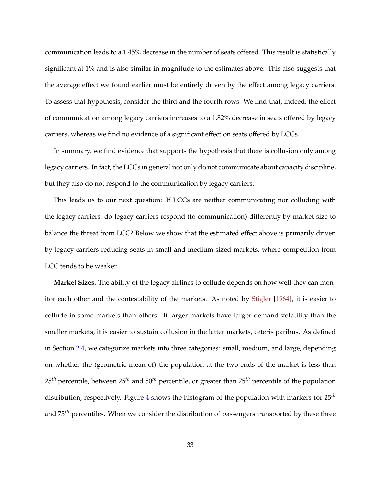<span id="page-32-0"></span>communication leads to a 1.45% decrease in the number of seats offered. This result is statistically significant at 1% and is also similar in magnitude to the estimates above. This also suggests that the average effect we found earlier must be entirely driven by the effect among legacy carriers. To assess that hypothesis, consider the third and the fourth rows. We find that, indeed, the effect of communication among legacy carriers increases to a 1.82% decrease in seats offered by legacy carriers, whereas we find no evidence of a significant effect on seats offered by LCCs.

In summary, we find evidence that supports the hypothesis that there is collusion only among legacy carriers. In fact, the LCCs in general not only do not communicate about capacity discipline, but they also do not respond to the communication by legacy carriers.

This leads us to our next question: If LCCs are neither communicating nor colluding with the legacy carriers, do legacy carriers respond (to communication) differently by market size to balance the threat from LCC? Below we show that the estimated effect above is primarily driven by legacy carriers reducing seats in small and medium-sized markets, where competition from LCC tends to be weaker.

**Market Sizes.** The ability of the legacy airlines to collude depends on how well they can monitor each other and the contestability of the markets. As noted by [Stigler](#page-58-3) [\[1964\]](#page-58-3), it is easier to collude in some markets than others. If larger markets have larger demand volatility than the smaller markets, it is easier to sustain collusion in the latter markets, ceteris paribus. As defined in Section [2.4,](#page-16-0) we categorize markets into three categories: small, medium, and large, depending on whether the (geometric mean of) the population at the two ends of the market is less than 25*th* percentile, between 25*th* and 50*th* percentile, or greater than 75*th* percentile of the population distribution, respectively. Figure [4](#page-33-0) shows the histogram of the population with markers for 25*th* and 75*th* percentiles. When we consider the distribution of passengers transported by these three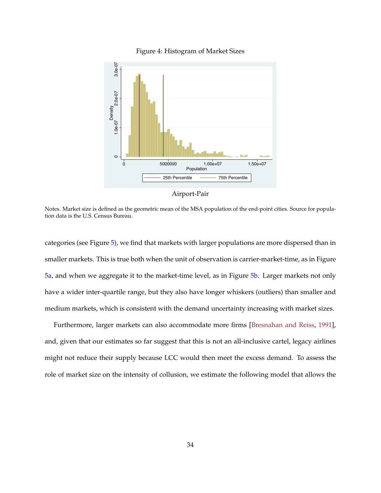<span id="page-33-1"></span><span id="page-33-0"></span>

Figure 4: Histogram of Market Sizes



Notes. Market size is defined as the geometric mean of the MSA population of the end-point cities. Source for population data is the U.S. Census Bureau.

categories (see Figure [5\)](#page-34-0), we find that markets with larger populations are more dispersed than in smaller markets. This is true both when the unit of observation is carrier-market-time, as in Figure [5a,](#page-34-0) and when we aggregate it to the market-time level, as in Figure [5b.](#page-34-0) Larger markets not only have a wider inter-quartile range, but they also have longer whiskers (outliers) than smaller and medium markets, which is consistent with the demand uncertainty increasing with market sizes.

Furthermore, larger markets can also accommodate more firms [\[Bresnahan and Reiss,](#page-53-7) [1991\]](#page-53-7), and, given that our estimates so far suggest that this is not an all-inclusive cartel, legacy airlines might not reduce their supply because LCC would then meet the excess demand. To assess the role of market size on the intensity of collusion, we estimate the following model that allows the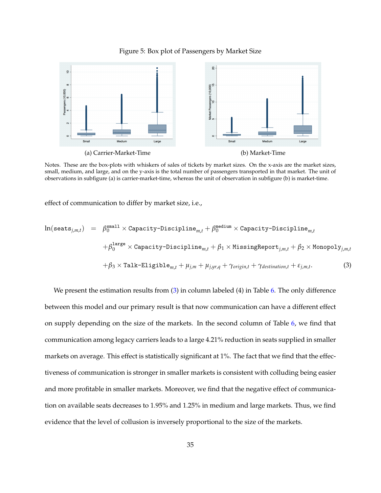

<span id="page-34-0"></span>

Notes. These are the box-plots with whiskers of sales of tickets by market sizes. On the x-axis are the market sizes, small, medium, and large, and on the y-axis is the total number of passengers transported in that market. The unit of observations in subfigure (a) is carrier-market-time, whereas the unit of observation in subfigure (b) is market-time.

effect of communication to differ by market size, i.e.,

<span id="page-34-1"></span>
$$
\ln(\texttt{seats}_{j,m,t}) = \beta_0^{\texttt{small}} \times \texttt{Capacity-Discipline}_{m,t} + \beta_0^{\texttt{medium}} \times \texttt{Capacity-Discipline}_{m,t} \n+ \beta_0^{\texttt{large}} \times \texttt{Capacity-Discipline}_{m,t} + \beta_1 \times \texttt{MissingReport}_{j,m,t} + \beta_2 \times \texttt{Monopoly}_{j,m,t} \n+ \beta_3 \times \texttt{talk-Eligible}_{m,t} + \mu_{j,m} + \mu_{j,yr,q} + \gamma_{origin,t} + \gamma_{destination,t} + \varepsilon_{j,m,t}.
$$
\n(3)

We present the estimation results from [\(3\)](#page-34-1) in column labeled (4) in Table [6.](#page-35-0) The only difference between this model and our primary result is that now communication can have a different effect on supply depending on the size of the markets. In the second column of Table [6,](#page-35-0) we find that communication among legacy carriers leads to a large 4.21% reduction in seats supplied in smaller markets on average. This effect is statistically significant at 1%. The fact that we find that the effectiveness of communication is stronger in smaller markets is consistent with colluding being easier and more profitable in smaller markets. Moreover, we find that the negative effect of communication on available seats decreases to 1.95% and 1.25% in medium and large markets. Thus, we find evidence that the level of collusion is inversely proportional to the size of the markets.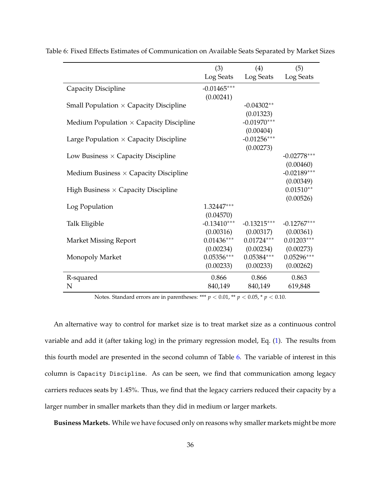|                                                | (3)                     | (4)           | (5)           |
|------------------------------------------------|-------------------------|---------------|---------------|
|                                                | Log Seats               | Log Seats     | Log Seats     |
| Capacity Discipline                            | $-0.01465***$           |               |               |
|                                                | (0.00241)               |               |               |
| Small Population $\times$ Capacity Discipline  |                         | $-0.04302**$  |               |
|                                                |                         | (0.01323)     |               |
| Medium Population $\times$ Capacity Discipline |                         | $-0.01970***$ |               |
|                                                |                         | (0.00404)     |               |
| Large Population $\times$ Capacity Discipline  |                         | $-0.01256***$ |               |
|                                                |                         | (0.00273)     |               |
| Low Business $\times$ Capacity Discipline      |                         |               | $-0.02778***$ |
|                                                |                         |               | (0.00460)     |
| Medium Business $\times$ Capacity Discipline   |                         |               | $-0.02189***$ |
|                                                |                         |               | (0.00349)     |
| High Business $\times$ Capacity Discipline     |                         |               | $0.01510**$   |
|                                                |                         |               | (0.00526)     |
| Log Population                                 | 1.32447***<br>(0.04570) |               |               |
| Talk Eligible                                  | $-0.13410***$           | $-0.13215***$ | $-0.12767***$ |
|                                                | (0.00316)               | (0.00317)     | (0.00361)     |
| <b>Market Missing Report</b>                   | $0.01436***$            | $0.01724***$  | $0.01203***$  |
|                                                | (0.00234)               | (0.00234)     | (0.00273)     |
| Monopoly Market                                | $0.05356***$            | $0.05384***$  | $0.05296***$  |
|                                                | (0.00233)               | (0.00233)     | (0.00262)     |
| R-squared                                      | 0.866                   | 0.866         | 0.863         |
| N                                              | 840,149                 | 840,149       | 619,848       |

<span id="page-35-0"></span>Table 6: Fixed Effects Estimates of Communication on Available Seats Separated by Market Sizes

Notes. Standard errors are in parentheses: \*\*\* *p* < 0.01, \*\* *p* < 0.05, \* *p* < 0.10.

An alternative way to control for market size is to treat market size as a continuous control variable and add it (after taking log) in the primary regression model, Eq. [\(1\)](#page-27-1). The results from this fourth model are presented in the second column of Table [6.](#page-35-0) The variable of interest in this column is Capacity Discipline. As can be seen, we find that communication among legacy carriers reduces seats by 1.45%. Thus, we find that the legacy carriers reduced their capacity by a larger number in smaller markets than they did in medium or larger markets.

**Business Markets.** While we have focused only on reasons why smaller markets might be more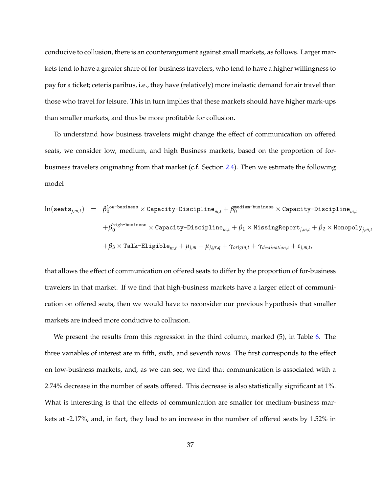conducive to collusion, there is an counterargument against small markets, as follows. Larger markets tend to have a greater share of for-business travelers, who tend to have a higher willingness to pay for a ticket; ceteris paribus, i.e., they have (relatively) more inelastic demand for air travel than those who travel for leisure. This in turn implies that these markets should have higher mark-ups than smaller markets, and thus be more profitable for collusion.

To understand how business travelers might change the effect of communication on offered seats, we consider low, medium, and high Business markets, based on the proportion of forbusiness travelers originating from that market (c.f. Section [2.4\)](#page-16-0). Then we estimate the following model

$$
\ln(\texttt{seats}_{j,m,t}) = \beta_0^{\texttt{low-busingness}} \times \texttt{Capacity-Discipline}_{m,t} + \beta_0^{\texttt{medium-busingness}} \times \texttt{Capacity-Discipline}_{m,t} \n+ \beta_0^{\texttt{high-busingness}} \times \texttt{Capacity-Discipline}_{m,t} + \beta_1 \times \texttt{MissingReport}_{j,m,t} + \beta_2 \times \texttt{Monopoly}_{j,m,t} \n+ \beta_3 \times \texttt{Table-Eligible}_{m,t} + \mu_{j,m} + \mu_{j,yr,q} + \gamma_{origin,t} + \gamma_{destination,t} + \varepsilon_{j,m,t},
$$

that allows the effect of communication on offered seats to differ by the proportion of for-business travelers in that market. If we find that high-business markets have a larger effect of communication on offered seats, then we would have to reconsider our previous hypothesis that smaller markets are indeed more conducive to collusion.

We present the results from this regression in the third column, marked (5), in Table [6.](#page-35-0) The three variables of interest are in fifth, sixth, and seventh rows. The first corresponds to the effect on low-business markets, and, as we can see, we find that communication is associated with a 2.74% decrease in the number of seats offered. This decrease is also statistically significant at 1%. What is interesting is that the effects of communication are smaller for medium-business markets at -2.17%, and, in fact, they lead to an increase in the number of offered seats by 1.52% in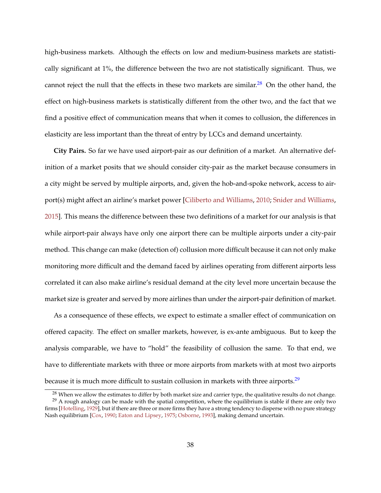<span id="page-37-2"></span>high-business markets. Although the effects on low and medium-business markets are statistically significant at 1%, the difference between the two are not statistically significant. Thus, we cannot reject the null that the effects in these two markets are similar.<sup>[28](#page-37-0)</sup> On the other hand, the effect on high-business markets is statistically different from the other two, and the fact that we find a positive effect of communication means that when it comes to collusion, the differences in elasticity are less important than the threat of entry by LCCs and demand uncertainty.

**City Pairs.** So far we have used airport-pair as our definition of a market. An alternative definition of a market posits that we should consider city-pair as the market because consumers in a city might be served by multiple airports, and, given the hob-and-spoke network, access to airport(s) might affect an airline's market power [\[Ciliberto and Williams,](#page-53-4) [2010;](#page-53-4) [Snider and Williams,](#page-58-7) [2015\]](#page-58-7). This means the difference between these two definitions of a market for our analysis is that while airport-pair always have only one airport there can be multiple airports under a city-pair method. This change can make (detection of) collusion more difficult because it can not only make monitoring more difficult and the demand faced by airlines operating from different airports less correlated it can also make airline's residual demand at the city level more uncertain because the market size is greater and served by more airlines than under the airport-pair definition of market.

As a consequence of these effects, we expect to estimate a smaller effect of communication on offered capacity. The effect on smaller markets, however, is ex-ante ambiguous. But to keep the analysis comparable, we have to "hold" the feasibility of collusion the same. To that end, we have to differentiate markets with three or more airports from markets with at most two airports because it is much more difficult to sustain collusion in markets with three airports.<sup>[29](#page-37-1)</sup>

<span id="page-37-1"></span><span id="page-37-0"></span><sup>&</sup>lt;sup>28</sup> When we allow the estimates to differ by both market size and carrier type, the qualitative results do not change.

 $^{29}$  A rough analogy can be made with the spatial competition, where the equilibrium is stable if there are only two firms [\[Hotelling,](#page-56-10) [1929\]](#page-56-10), but if there are three or more firms they have a strong tendency to disperse with no pure strategy Nash equilibrium [\[Cox,](#page-53-8) [1990;](#page-53-8) [Eaton and Lipsey,](#page-53-9) [1975;](#page-53-9) [Osborne,](#page-57-6) [1993\]](#page-57-6), making demand uncertain.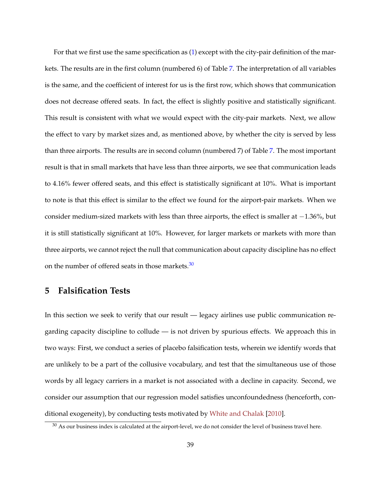<span id="page-38-2"></span>For that we first use the same specification as [\(1\)](#page-27-1) except with the city-pair definition of the markets. The results are in the first column (numbered 6) of Table [7.](#page-39-0) The interpretation of all variables is the same, and the coefficient of interest for us is the first row, which shows that communication does not decrease offered seats. In fact, the effect is slightly positive and statistically significant. This result is consistent with what we would expect with the city-pair markets. Next, we allow the effect to vary by market sizes and, as mentioned above, by whether the city is served by less than three airports. The results are in second column (numbered 7) of Table [7.](#page-39-0) The most important result is that in small markets that have less than three airports, we see that communication leads to 4.16% fewer offered seats, and this effect is statistically significant at 10%. What is important to note is that this effect is similar to the effect we found for the airport-pair markets. When we consider medium-sized markets with less than three airports, the effect is smaller at −1.36%, but it is still statistically significant at 10%. However, for larger markets or markets with more than three airports, we cannot reject the null that communication about capacity discipline has no effect on the number of offered seats in those markets. $30$ 

## <span id="page-38-0"></span>**5 Falsification Tests**

In this section we seek to verify that our result — legacy airlines use public communication regarding capacity discipline to collude — is not driven by spurious effects. We approach this in two ways: First, we conduct a series of placebo falsification tests, wherein we identify words that are unlikely to be a part of the collusive vocabulary, and test that the simultaneous use of those words by all legacy carriers in a market is not associated with a decline in capacity. Second, we consider our assumption that our regression model satisfies unconfoundedness (henceforth, conditional exogeneity), by conducting tests motivated by [White and Chalak](#page-58-8) [\[2010\]](#page-58-8).

<span id="page-38-1"></span> $30$  As our business index is calculated at the airport-level, we do not consider the level of business travel here.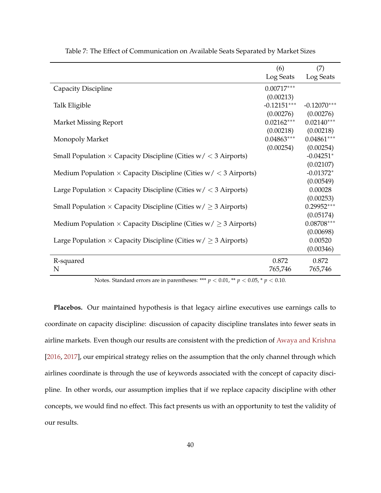<span id="page-39-0"></span>

|                                                                              | (6)           | (7)           |
|------------------------------------------------------------------------------|---------------|---------------|
|                                                                              | Log Seats     | Log Seats     |
| Capacity Discipline                                                          | $0.00717***$  |               |
|                                                                              | (0.00213)     |               |
| Talk Eligible                                                                | $-0.12151***$ | $-0.12070***$ |
|                                                                              | (0.00276)     | (0.00276)     |
| <b>Market Missing Report</b>                                                 | $0.02162***$  | $0.02140***$  |
|                                                                              | (0.00218)     | (0.00218)     |
| Monopoly Market                                                              | $0.04863***$  | $0.04861***$  |
|                                                                              | (0.00254)     | (0.00254)     |
| Small Population $\times$ Capacity Discipline (Cities $w / < 3$ Airports)    |               | $-0.04251*$   |
|                                                                              |               | (0.02107)     |
| Medium Population $\times$ Capacity Discipline (Cities $w / < 3$ Airports)   |               | $-0.01372*$   |
|                                                                              |               | (0.00549)     |
| Large Population $\times$ Capacity Discipline (Cities $w / < 3$ Airports)    |               | 0.00028       |
|                                                                              |               | (0.00253)     |
| Small Population $\times$ Capacity Discipline (Cities $w/ \geq 3$ Airports)  |               | $0.29952***$  |
|                                                                              |               | (0.05174)     |
| Medium Population $\times$ Capacity Discipline (Cities $w/ \geq 3$ Airports) |               | $0.08708***$  |
|                                                                              |               | (0.00698)     |
| Large Population $\times$ Capacity Discipline (Cities $w/ \geq 3$ Airports)  |               | 0.00520       |
|                                                                              |               | (0.00346)     |
| R-squared                                                                    | 0.872         | 0.872         |
| N                                                                            | 765,746       | 765,746       |
|                                                                              |               |               |

<span id="page-39-1"></span>Table 7: The Effect of Communication on Available Seats Separated by Market Sizes

Notes. Standard errors are in parentheses: \*\*\* *p* < 0.01, \*\* *p* < 0.05, \* *p* < 0.10.

**Placebos.** Our maintained hypothesis is that legacy airline executives use earnings calls to coordinate on capacity discipline: discussion of capacity discipline translates into fewer seats in airline markets. Even though our results are consistent with the prediction of [Awaya and Krishna](#page-51-0) [\[2016,](#page-51-0) [2017\]](#page-51-1), our empirical strategy relies on the assumption that the only channel through which airlines coordinate is through the use of keywords associated with the concept of capacity discipline. In other words, our assumption implies that if we replace capacity discipline with other concepts, we would find no effect. This fact presents us with an opportunity to test the validity of our results.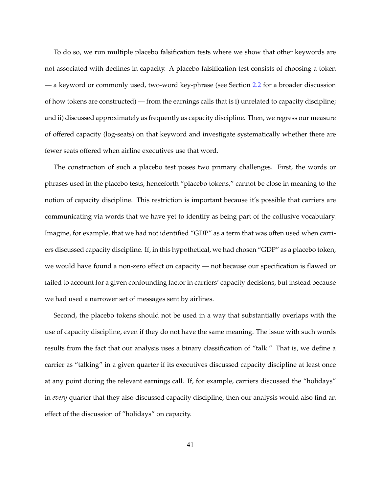To do so, we run multiple placebo falsification tests where we show that other keywords are not associated with declines in capacity. A placebo falsification test consists of choosing a token — a keyword or commonly used, two-word key-phrase (see Section [2.2](#page-9-0) for a broader discussion of how tokens are constructed) — from the earnings calls that is i) unrelated to capacity discipline; and ii) discussed approximately as frequently as capacity discipline. Then, we regress our measure of offered capacity (log-seats) on that keyword and investigate systematically whether there are fewer seats offered when airline executives use that word.

The construction of such a placebo test poses two primary challenges. First, the words or phrases used in the placebo tests, henceforth "placebo tokens," cannot be close in meaning to the notion of capacity discipline. This restriction is important because it's possible that carriers are communicating via words that we have yet to identify as being part of the collusive vocabulary. Imagine, for example, that we had not identified "GDP" as a term that was often used when carriers discussed capacity discipline. If, in this hypothetical, we had chosen "GDP" as a placebo token, we would have found a non-zero effect on capacity — not because our specification is flawed or failed to account for a given confounding factor in carriers' capacity decisions, but instead because we had used a narrower set of messages sent by airlines.

Second, the placebo tokens should not be used in a way that substantially overlaps with the use of capacity discipline, even if they do not have the same meaning. The issue with such words results from the fact that our analysis uses a binary classification of "talk." That is, we define a carrier as "talking" in a given quarter if its executives discussed capacity discipline at least once at any point during the relevant earnings call. If, for example, carriers discussed the "holidays" in *every* quarter that they also discussed capacity discipline, then our analysis would also find an effect of the discussion of "holidays" on capacity.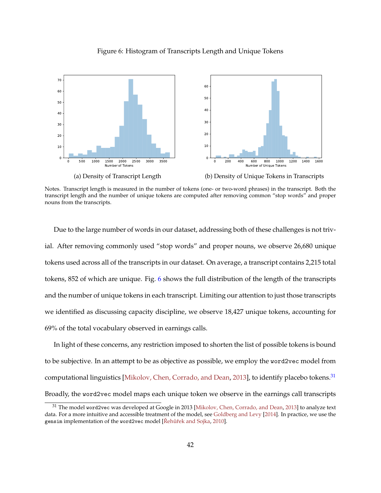

<span id="page-41-2"></span><span id="page-41-0"></span>

Notes. Transcript length is measured in the number of tokens (one- or two-word phrases) in the transcript. Both the transcript length and the number of unique tokens are computed after removing common "stop words" and proper nouns from the transcripts.

Due to the large number of words in our dataset, addressing both of these challenges is not trivial. After removing commonly used "stop words" and proper nouns, we observe 26,680 unique tokens used across all of the transcripts in our dataset. On average, a transcript contains 2,215 total tokens, 852 of which are unique. Fig. [6](#page-41-0) shows the full distribution of the length of the transcripts and the number of unique tokens in each transcript. Limiting our attention to just those transcripts we identified as discussing capacity discipline, we observe 18,427 unique tokens, accounting for 69% of the total vocabulary observed in earnings calls.

In light of these concerns, any restriction imposed to shorten the list of possible tokens is bound to be subjective. In an attempt to be as objective as possible, we employ the word2vec model from computational linguistics [\[Mikolov, Chen, Corrado, and Dean,](#page-56-3) [2013\]](#page-56-3), to identify placebo tokens.[31](#page-41-1) Broadly, the word2vec model maps each unique token we observe in the earnings call transcripts

<span id="page-41-1"></span><sup>&</sup>lt;sup>31</sup> The model word2vec was developed at Google in 2013 [\[Mikolov, Chen, Corrado, and Dean,](#page-56-3) [2013\]](#page-56-3) to analyze text data. For a more intuitive and accessible treatment of the model, see [Goldberg and Levy](#page-54-9) [\[2014\]](#page-54-9). In practice, we use the gensim implementation of the word2vec model [Řehůřek and Sojka, [2010\]](#page-57-7).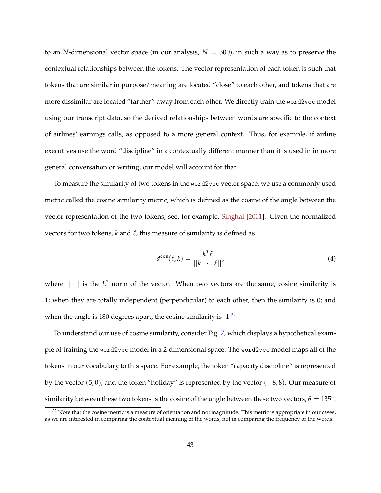<span id="page-42-2"></span>to an *N*-dimensional vector space (in our analysis,  $N = 300$ ), in such a way as to preserve the contextual relationships between the tokens. The vector representation of each token is such that tokens that are similar in purpose/meaning are located "close" to each other, and tokens that are more dissimilar are located "farther" away from each other. We directly train the word2vec model using our transcript data, so the derived relationships between words are specific to the context of airlines' earnings calls, as opposed to a more general context. Thus, for example, if airline executives use the word "discipline" in a contextually different manner than it is used in in more general conversation or writing, our model will account for that.

To measure the similarity of two tokens in the word2vec vector space, we use a commonly used metric called the cosine similarity metric, which is defined as the cosine of the angle between the vector representation of the two tokens; see, for example, [Singhal](#page-58-9) [\[2001\]](#page-58-9). Given the normalized vectors for two tokens,  $k$  and  $\ell$ , this measure of similarity is defined as

<span id="page-42-1"></span>
$$
d^{\cos}(\ell, k) = \frac{k^T \ell}{||k|| \cdot ||\ell||},\tag{4}
$$

where  $||\cdot||$  is the  $L^2$  norm of the vector. When two vectors are the same, cosine similarity is 1; when they are totally independent (perpendicular) to each other, then the similarity is 0; and when the angle is 180 degrees apart, the cosine similarity is  $-1.\overline{32}$  $-1.\overline{32}$  $-1.\overline{32}$ 

To understand our use of cosine similarity, consider Fig. [7,](#page-43-0) which displays a hypothetical example of training the word2vec model in a 2-dimensional space. The word2vec model maps all of the tokens in our vocabulary to this space. For example, the token "capacity discipline" is represented by the vector  $(5,0)$ , and the token "holiday" is represented by the vector  $(-8,8)$ . Our measure of similarity between these two tokens is the cosine of the angle between these two vectors,  $\theta = 135^{\circ}$ .

<span id="page-42-0"></span> $32$  Note that the cosine metric is a measure of orientation and not magnitude. This metric is appropriate in our cases, as we are interested in comparing the contextual meaning of the words, not in comparing the frequency of the words.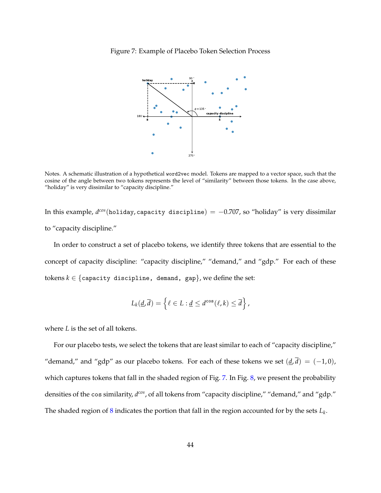<span id="page-43-0"></span>



Notes. A schematic illustration of a hypothetical word2vec model. Tokens are mapped to a vector space, such that the cosine of the angle between two tokens represents the level of "similarity" between those tokens. In the case above, "holiday" is very dissimilar to "capacity discipline."

In this example, *d cos*(holiday, capacity discipline) = −0.707, so "holiday" is very dissimilar to "capacity discipline."

In order to construct a set of placebo tokens, we identify three tokens that are essential to the concept of capacity discipline: "capacity discipline," "demand," and "gdp." For each of these tokens  $k \in \{$ capacity discipline, demand, gap}, we define the set:

$$
L_k(\underline{d},\overline{d})=\left\{\ell\in L:\underline{d}\leq d^{\cos}(\ell,k)\leq \overline{d}\right\},\,
$$

where *L* is the set of all tokens.

For our placebo tests, we select the tokens that are least similar to each of "capacity discipline," "demand," and "gdp" as our placebo tokens. For each of these tokens we set  $(\underline{d}, \overline{d}) = (-1, 0)$ , which captures tokens that fall in the shaded region of Fig. [7.](#page-43-0) In Fig. [8,](#page-44-0) we present the probability densities of the cos similarity, *d cos*, of all tokens from "capacity discipline," "demand," and "gdp." The shaded region of  $8$  indicates the portion that fall in the region accounted for by the sets  $L_k$ .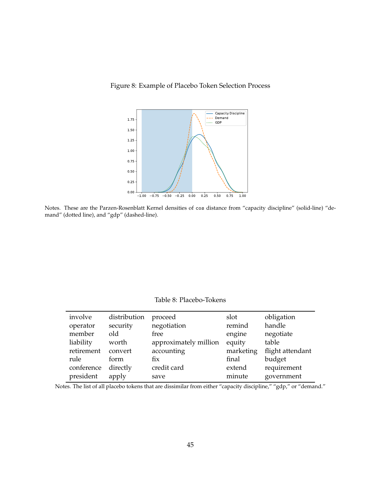<span id="page-44-0"></span>



Notes. These are the Parzen-Rosenblatt Kernel densities of cos distance from "capacity discipline" (solid-line) "demand" (dotted line), and "gdp" (dashed-line).

Table 8: Placebo-Tokens

<span id="page-44-1"></span>

| involve    | distribution | proceed               | slot      | obligation       |
|------------|--------------|-----------------------|-----------|------------------|
| operator   | security     | negotiation           | remind    | handle           |
| member     | old          | free                  | engine    | negotiate        |
| liability  | worth        | approximately million | equity    | table            |
| retirement | convert      | accounting            | marketing | flight attendant |
| rule       | form         | fix                   | final     | budget           |
| conference | directly     | credit card           | extend    | requirement      |
| president  | apply        | save                  | minute    | government       |

Notes. The list of all placebo tokens that are dissimilar from either "capacity discipline," "gdp," or "demand."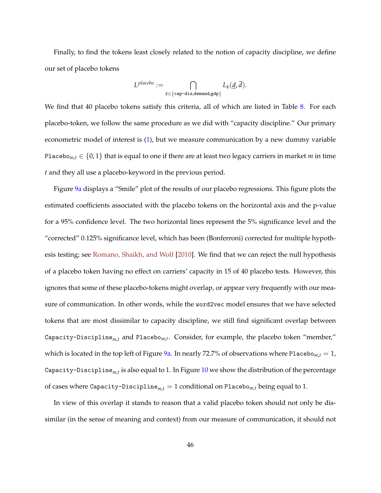<span id="page-45-0"></span>Finally, to find the tokens least closely related to the notion of capacity discipline, we define our set of placebo tokens

$$
L^{placebo} := \bigcap_{k \in \{\texttt{cap-dis,demand}, \texttt{gdp}\}} L_k(\underline{d}, \overline{d}).
$$

We find that 40 placebo tokens satisfy this criteria, all of which are listed in Table [8.](#page-44-1) For each placebo-token, we follow the same procedure as we did with "capacity discipline." Our primary econometric model of interest is [\(1\)](#page-27-1), but we measure communication by a new dummy variable Placebo<sub>*m*,*t*</sub>  $\in$  {0,1} that is equal to one if there are at least two legacy carriers in market *m* in time *t* and they all use a placebo-keyword in the previous period.

Figure [9a](#page-46-0) displays a "Smile" plot of the results of our placebo regressions. This figure plots the estimated coefficients associated with the placebo tokens on the horizontal axis and the p-value for a 95% confidence level. The two horizontal lines represent the 5% significance level and the "corrected" 0.125% significance level, which has been (Bonferroni) corrected for multiple hypothesis testing; see [Romano, Shaikh, and Wolf](#page-57-8) [\[2010\]](#page-57-8). We find that we can reject the null hypothesis of a placebo token having no effect on carriers' capacity in 15 of 40 placebo tests. However, this ignores that some of these placebo-tokens might overlap, or appear very frequently with our measure of communication. In other words, while the word2vec model ensures that we have selected tokens that are most dissimilar to capacity discipline, we still find significant overlap between Capacity-Discipline*m*,*<sup>t</sup>* and Placebo*m*,*<sup>t</sup>* . Consider, for example, the placebo token "member," which is located in the top left of Figure  $9a$ . In nearly 72.7% of observations where Placebo<sub>m,*t*</sub> = 1, Capacity-Discipline*m*,*<sup>t</sup>* is also equal to 1. In Figure [10](#page-47-0) we show the distribution of the percentage of cases where Capacity-Discipline<sub>m,t</sub> = 1 conditional on Placebo<sub>m,t</sub> being equal to 1.

In view of this overlap it stands to reason that a valid placebo token should not only be dissimilar (in the sense of meaning and context) from our measure of communication, it should not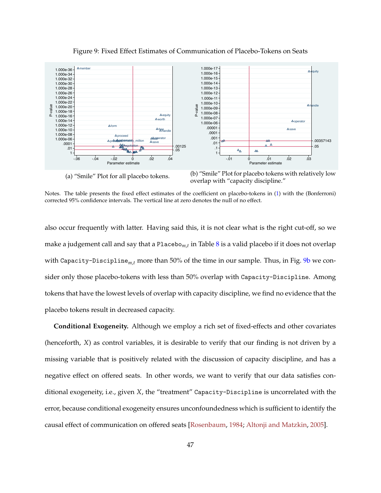<span id="page-46-1"></span><span id="page-46-0"></span>

Figure 9: Fixed Effect Estimates of Communication of Placebo-Tokens on Seats

(a) "Smile" Plot for all placebo tokens.

(b) "Smile" Plot for placebo tokens with relatively low overlap with "capacity discipline."

Notes. The table presents the fixed effect estimates of the coefficient on placebo-tokens in [\(1\)](#page-27-1) with the (Bonferroni) corrected 95% confidence intervals. The vertical line at zero denotes the null of no effect.

also occur frequently with latter. Having said this, it is not clear what is the right cut-off, so we make a judgement call and say that a Placebo*m*,*<sup>t</sup>* in Table [8](#page-44-1) is a valid placebo if it does not overlap with Capacity-Discipline*m*,*<sup>t</sup>* more than 50% of the time in our sample. Thus, in Fig. [9b](#page-46-0) we consider only those placebo-tokens with less than 50% overlap with Capacity-Discipline. Among tokens that have the lowest levels of overlap with capacity discipline, we find no evidence that the placebo tokens result in decreased capacity.

**Conditional Exogeneity.** Although we employ a rich set of fixed-effects and other covariates (henceforth, *X*) as control variables, it is desirable to verify that our finding is not driven by a missing variable that is positively related with the discussion of capacity discipline, and has a negative effect on offered seats. In other words, we want to verify that our data satisfies conditional exogeneity, i.e., given *X*, the "treatment" Capacity-Discipline is uncorrelated with the error, because conditional exogeneity ensures unconfoundedness which is sufficient to identify the causal effect of communication on offered seats [\[Rosenbaum,](#page-57-5) [1984;](#page-57-5) [Altonji and Matzkin,](#page-51-8) [2005\]](#page-51-8).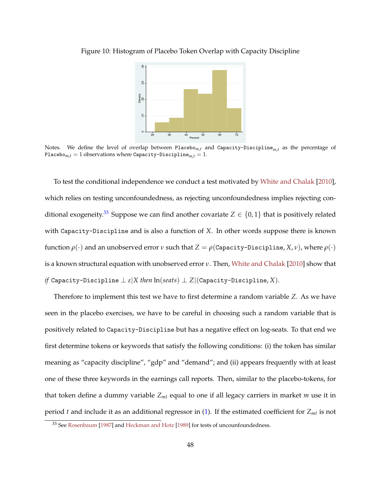

<span id="page-47-2"></span><span id="page-47-0"></span>Figure 10: Histogram of Placebo Token Overlap with Capacity Discipline

Notes. We define the level of overlap between Placebo*m*,*<sup>t</sup>* and Capacity-Discipline*m*,*<sup>t</sup>* as the percentage of Placebo<sub>*m*,*t*</sub> = 1 observations where Capacity-Discipline<sub>*m*,*t*</sub> = 1.

To test the conditional independence we conduct a test motivated by [White and Chalak](#page-58-8) [\[2010\]](#page-58-8), which relies on testing unconfoundedness, as rejecting unconfoundedness implies rejecting con-ditional exogeneity.<sup>[33](#page-47-1)</sup> Suppose we can find another covariate  $Z \in \{0,1\}$  that is positively related with Capacity-Discipline and is also a function of *X*. In other words suppose there is known function  $ρ(·)$  and an unobserved error *ν* such that  $Z = ρ(Capacity-Discript, X, ν)$ , where  $ρ(·)$ is a known structural equation with unobserved error *ν*. Then, [White and Chalak](#page-58-8) [\[2010\]](#page-58-8) show that *if* Capacity-Discipline  $\perp \varepsilon |X$  *then*  $\ln(seats) \perp Z |$  (Capacity-Discipline, *X*).

Therefore to implement this test we have to first determine a random variable *Z*. As we have seen in the placebo exercises, we have to be careful in choosing such a random variable that is positively related to Capacity-Discipline but has a negative effect on log-seats. To that end we first determine tokens or keywords that satisfy the following conditions: (i) the token has similar meaning as "capacity discipline", "gdp" and "demand"; and (ii) appears frequently with at least one of these three keywords in the earnings call reports. Then, similar to the placebo-tokens, for that token define a dummy variable *Zmt* equal to one if all legacy carriers in market *m* use it in period *t* and include it as an additional regressor in [\(1\)](#page-27-1). If the estimated coefficient for *Zmt* is not

<span id="page-47-1"></span><sup>33</sup> See [Rosenbaum](#page-57-9) [\[1987\]](#page-57-9) and [Heckman and Hotz](#page-55-8) [\[1989\]](#page-55-8) for tests of uncounfoundedness.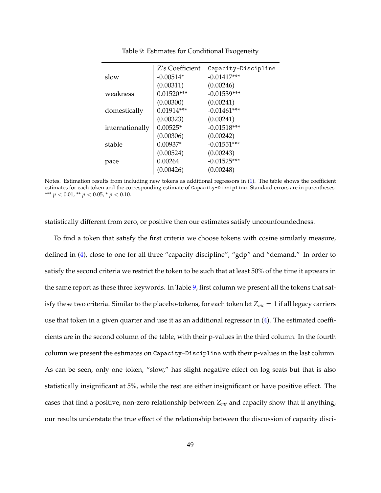<span id="page-48-0"></span>

|                 | Z's Coefficient | Capacity-Discipline |
|-----------------|-----------------|---------------------|
| slow            | $-0.00514*$     | $-0.01417***$       |
|                 | (0.00311)       | (0.00246)           |
| weakness        | $0.01520***$    | $-0.01539***$       |
|                 | (0.00300)       | (0.00241)           |
| domestically    | $0.01914***$    | $-0.01461***$       |
|                 | (0.00323)       | (0.00241)           |
| internationally | $0.00525*$      | $-0.01518***$       |
|                 | (0.00306)       | (0.00242)           |
| stable          | $0.00937*$      | $-0.01551***$       |
|                 | (0.00524)       | (0.00243)           |
| pace            | 0.00264         | $-0.01525***$       |
|                 | (0.00426)       | (0.00248)           |

Table 9: Estimates for Conditional Exogeneity

Notes. Estimation results from including new tokens as additional regressors in [\(1\)](#page-27-1). The table shows the coefficient estimates for each token and the corresponding estimate of Capacity-Discipline. Standard errors are in parentheses: \*\*\*  $p < 0.01$ , \*\*  $p < 0.05$ , \*  $p < 0.10$ .

statistically different from zero, or positive then our estimates satisfy uncounfoundedness.

To find a token that satisfy the first criteria we choose tokens with cosine similarly measure, defined in [\(4\)](#page-42-1), close to one for all three "capacity discipline", "gdp" and "demand." In order to satisfy the second criteria we restrict the token to be such that at least 50% of the time it appears in the same report as these three keywords. In Table [9,](#page-48-0) first column we present all the tokens that satisfy these two criteria. Similar to the placebo-tokens, for each token let *Zmt* = 1 if all legacy carriers use that token in a given quarter and use it as an additional regressor in [\(4\)](#page-42-1). The estimated coefficients are in the second column of the table, with their p-values in the third column. In the fourth column we present the estimates on Capacity-Discipline with their p-values in the last column. As can be seen, only one token, "slow," has slight negative effect on log seats but that is also statistically insignificant at 5%, while the rest are either insignificant or have positive effect. The cases that find a positive, non-zero relationship between *Zmt* and capacity show that if anything, our results understate the true effect of the relationship between the discussion of capacity disci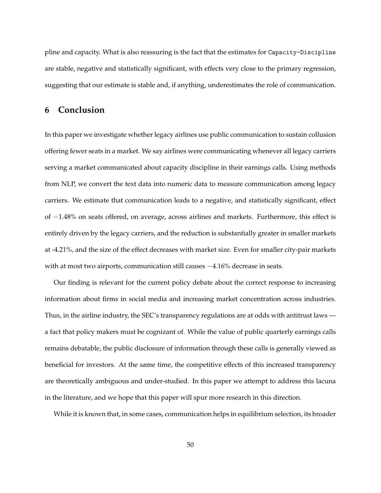pline and capacity. What is also reassuring is the fact that the estimates for Capacity-Discipline are stable, negative and statistically significant, with effects very close to the primary regression, suggesting that our estimate is stable and, if anything, underestimates the role of communication.

## <span id="page-49-0"></span>**6 Conclusion**

In this paper we investigate whether legacy airlines use public communication to sustain collusion offering fewer seats in a market. We say airlines were communicating whenever all legacy carriers serving a market communicated about capacity discipline in their earnings calls. Using methods from NLP, we convert the text data into numeric data to measure communication among legacy carriers. We estimate that communication leads to a negative, and statistically significant, effect of −1.48% on seats offered, on average, across airlines and markets. Furthermore, this effect is entirely driven by the legacy carriers, and the reduction is substantially greater in smaller markets at -4.21%, and the size of the effect decreases with market size. Even for smaller city-pair markets with at most two airports, communication still causes  $-4.16%$  decrease in seats.

Our finding is relevant for the current policy debate about the correct response to increasing information about firms in social media and increasing market concentration across industries. Thus, in the airline industry, the SEC's transparency regulations are at odds with antitrust laws a fact that policy makers must be cognizant of. While the value of public quarterly earnings calls remains debatable, the public disclosure of information through these calls is generally viewed as beneficial for investors. At the same time, the competitive effects of this increased transparency are theoretically ambiguous and under-studied. In this paper we attempt to address this lacuna in the literature, and we hope that this paper will spur more research in this direction.

While it is known that, in some cases, communication helps in equilibrium selection, its broader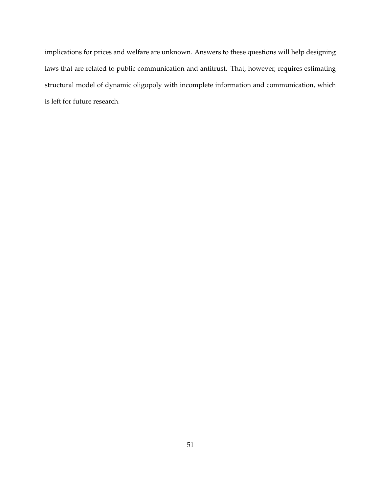implications for prices and welfare are unknown. Answers to these questions will help designing laws that are related to public communication and antitrust. That, however, requires estimating structural model of dynamic oligopoly with incomplete information and communication, which is left for future research.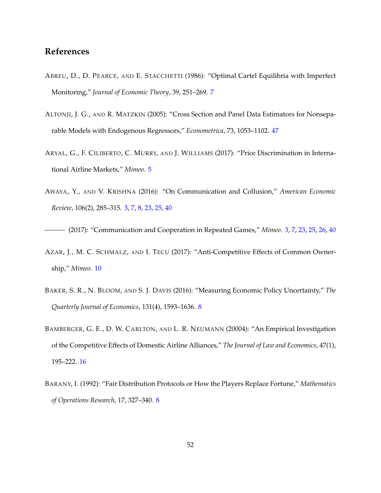## **References**

- <span id="page-51-3"></span>ABREU, D., D. PEARCE, AND E. STACCHETTI (1986): "Optimal Cartel Equilibria with Imperfect Monitoring," *Journal of Economic Theory*, 39, 251–269. [7](#page-6-2)
- <span id="page-51-8"></span>ALTONJI, J. G., AND R. MATZKIN (2005): "Cross Section and Panel Data Estimators for Nonseparable Models with Endogenous Regressors," *Econometrica*, 73, 1053–1102. [47](#page-46-1)
- <span id="page-51-2"></span>ARYAL, G., F. CILIBERTO, C. MURRY, AND J. WILLIAMS (2017): "Price Discrimination in International Airline Markets," *Mimeo*. [5](#page-4-2)
- <span id="page-51-0"></span>AWAYA, Y., AND V. KRISHNA (2016): "On Communication and Collusion," *American Economic Review*, 106(2), 285–315. [3,](#page-2-2) [7,](#page-6-2) [8,](#page-7-1) [23,](#page-22-1) [25,](#page-24-0) [40](#page-39-1)

<span id="page-51-6"></span><span id="page-51-1"></span>(2017): "Communication and Cooperation in Repeated Games," *Mimeo*. [3,](#page-2-2) [7,](#page-6-2) [23,](#page-22-1) [25,](#page-24-0) [26,](#page-25-2) [40](#page-39-1)

- AZAR, J., M. C. SCHMALZ, AND I. TECU (2017): "Anti-Competitive Effects of Common Ownership," *Mimeo*. [10](#page-9-3)
- <span id="page-51-4"></span>BAKER, S. R., N. BLOOM, AND S. J. DAVIS (2016): "Measuring Economic Policy Uncertainty," *The Quarterly Journal of Economics*, 131(4), 1593–1636. [8](#page-7-1)
- <span id="page-51-7"></span>BAMBERGER, G. E., D. W. CARLTON, AND L. R. NEUMANN (20004): "An Empirical Investigation of the Competitive Effects of Domestic Airline Alliances," *The Journal of Law and Economics*, 47(1), 195–222. [16](#page-15-2)
- <span id="page-51-5"></span>BARANY, I. (1992): "Fair Distribution Protocols or How the Players Replace Fortune," *Mathematics of Operations Research*, 17, 327–340. [8](#page-7-1)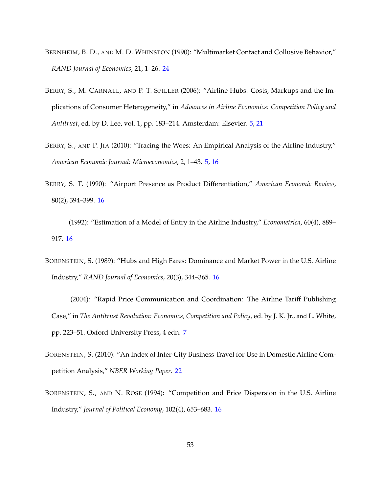- <span id="page-52-8"></span>BERNHEIM, B. D., AND M. D. WHINSTON (1990): "Multimarket Contact and Collusive Behavior," *RAND Journal of Economics*, 21, 1–26. [24](#page-23-2)
- <span id="page-52-0"></span>BERRY, S., M. CARNALL, AND P. T. SPILLER (2006): "Airline Hubs: Costs, Markups and the Implications of Consumer Heterogeneity," in *Advances in Airline Economics: Competition Policy and Antitrust*, ed. by D. Lee, vol. 1, pp. 183–214. Amsterdam: Elsevier. [5,](#page-4-2) [21](#page-20-0)
- <span id="page-52-1"></span>BERRY, S., AND P. JIA (2010): "Tracing the Woes: An Empirical Analysis of the Airline Industry," *American Economic Journal: Microeconomics*, 2, 1–43. [5,](#page-4-2) [16](#page-15-2)
- <span id="page-52-5"></span>BERRY, S. T. (1990): "Airport Presence as Product Differentiation," *American Economic Review*, 80(2), 394–399. [16](#page-15-2)
- <span id="page-52-6"></span>(1992): "Estimation of a Model of Entry in the Airline Industry," *Econometrica*, 60(4), 889– 917. [16](#page-15-2)
- <span id="page-52-3"></span>BORENSTEIN, S. (1989): "Hubs and High Fares: Dominance and Market Power in the U.S. Airline Industry," *RAND Journal of Economics*, 20(3), 344–365. [16](#page-15-2)
- <span id="page-52-2"></span>(2004): "Rapid Price Communication and Coordination: The Airline Tariff Publishing Case," in *The Antitrust Revolution: Economics, Competition and Policy*, ed. by J. K. Jr., and L. White, pp. 223–51. Oxford University Press, 4 edn. [7](#page-6-2)
- <span id="page-52-7"></span>BORENSTEIN, S. (2010): "An Index of Inter-City Business Travel for Use in Domestic Airline Competition Analysis," *NBER Working Paper*. [22](#page-21-1)
- <span id="page-52-4"></span>BORENSTEIN, S., AND N. ROSE (1994): "Competition and Price Dispersion in the U.S. Airline Industry," *Journal of Political Economy*, 102(4), 653–683. [16](#page-15-2)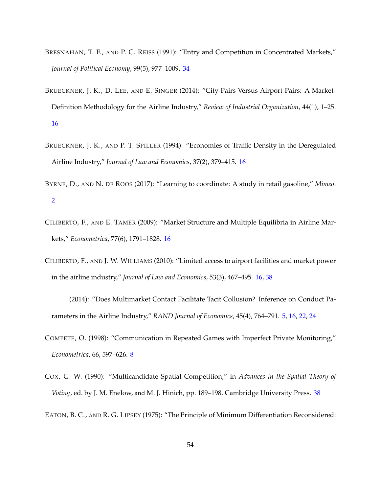- <span id="page-53-7"></span>BRESNAHAN, T. F., AND P. C. REISS (1991): "Entry and Competition in Concentrated Markets," *Journal of Political Economy*, 99(5), 977–1009. [34](#page-33-1)
- <span id="page-53-6"></span>BRUECKNER, J. K., D. LEE, AND E. SINGER (2014): "City-Pairs Versus Airport-Pairs: A Market-Definition Methodology for the Airline Industry," *Review of Industrial Organization*, 44(1), 1–25. [16](#page-15-2)
- <span id="page-53-5"></span>BRUECKNER, J. K., AND P. T. SPILLER (1994): "Economies of Traffic Density in the Deregulated Airline Industry," *Journal of Law and Economics*, 37(2), 379–415. [16](#page-15-2)
- <span id="page-53-0"></span>BYRNE, D., AND N. DE ROOS (2017): "Learning to coordinate: A study in retail gasoline," *Mimeo*. [2](#page-1-3)
- <span id="page-53-3"></span>CILIBERTO, F., AND E. TAMER (2009): "Market Structure and Multiple Equilibria in Airline Markets," *Econometrica*, 77(6), 1791–1828. [16](#page-15-2)
- <span id="page-53-4"></span>CILIBERTO, F., AND J. W. WILLIAMS (2010): "Limited access to airport facilities and market power in the airline industry," *Journal of Law and Economics*, 53(3), 467–495. [16,](#page-15-2) [38](#page-37-2)
- <span id="page-53-1"></span>(2014): "Does Multimarket Contact Facilitate Tacit Collusion? Inference on Conduct Parameters in the Airline Industry," *RAND Journal of Economics*, 45(4), 764–791. [5,](#page-4-2) [16,](#page-15-2) [22,](#page-21-1) [24](#page-23-2)
- <span id="page-53-2"></span>COMPETE, O. (1998): "Communication in Repeated Games with Imperfect Private Monitoring," *Econometrica*, 66, 597–626. [8](#page-7-1)
- <span id="page-53-8"></span>COX, G. W. (1990): "Multicandidate Spatial Competition," in *Advances in the Spatial Theory of Voting*, ed. by J. M. Enelow, and M. J. Hinich, pp. 189–198. Cambridge University Press. [38](#page-37-2)
- <span id="page-53-9"></span>EATON, B. C., AND R. G. LIPSEY (1975): "The Principle of Minimum Differentiation Reconsidered: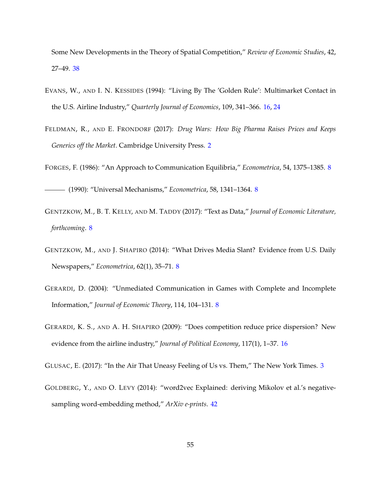Some New Developments in the Theory of Spatial Competition," *Review of Economic Studies*, 42, 27–49. [38](#page-37-2)

- <span id="page-54-8"></span>EVANS, W., AND I. N. KESSIDES (1994): "Living By The 'Golden Rule': Multimarket Contact in the U.S. Airline Industry," *Quarterly Journal of Economics*, 109, 341–366. [16,](#page-15-2) [24](#page-23-2)
- <span id="page-54-0"></span>FELDMAN, R., AND E. FRONDORF (2017): *Drug Wars: How Big Pharma Raises Prices and Keeps Generics off the Market*. Cambridge University Press. [2](#page-1-3)
- <span id="page-54-5"></span><span id="page-54-4"></span>FORGES, F. (1986): "An Approach to Communication Equilibria," *Econometrica*, 54, 1375–1385. [8](#page-7-1)

(1990): "Universal Mechanisms," *Econometrica*, 58, 1341–1364. [8](#page-7-1)

- <span id="page-54-3"></span>GENTZKOW, M., B. T. KELLY, AND M. TADDY (2017): "Text as Data," *Journal of Economic Literature, forthcoming*. [8](#page-7-1)
- <span id="page-54-2"></span>GENTZKOW, M., AND J. SHAPIRO (2014): "What Drives Media Slant? Evidence from U.S. Daily Newspapers," *Econometrica*, 62(1), 35–71. [8](#page-7-1)
- <span id="page-54-6"></span>GERARDI, D. (2004): "Unmediated Communication in Games with Complete and Incomplete Information," *Journal of Economic Theory*, 114, 104–131. [8](#page-7-1)
- <span id="page-54-7"></span>GERARDI, K. S., AND A. H. SHAPIRO (2009): "Does competition reduce price dispersion? New evidence from the airline industry," *Journal of Political Economy*, 117(1), 1–37. [16](#page-15-2)

<span id="page-54-9"></span><span id="page-54-1"></span>GLUSAC, E. (2017): "In the Air That Uneasy Feeling of Us vs. Them," The New York Times. [3](#page-2-2)

GOLDBERG, Y., AND O. LEVY (2014): "word2vec Explained: deriving Mikolov et al.'s negativesampling word-embedding method," *ArXiv e-prints*. [42](#page-41-2)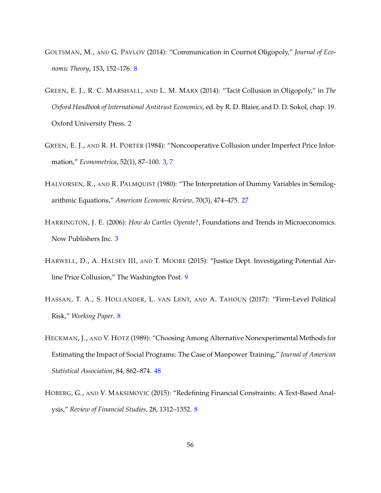- <span id="page-55-5"></span>GOLTSMAN, M., AND G. PAVLOV (2014): "Communication in Cournot Oligopoly," *Journal of Economic Theory*, 153, 152–176. [8](#page-7-1)
- <span id="page-55-0"></span>GREEN, E. J., R. C. MARSHALL, AND L. M. MARX (2014): "Tacit Collusion in Oligopoly," in *The Oxford Handbook of International Antitrust Economics*, ed. by R. D. Blaier, and D. D. Sokol, chap. 19. Oxford University Press. [2](#page-1-3)
- <span id="page-55-2"></span>GREEN, E. J., AND R. H. PORTER (1984): "Noncooperative Collusion under Imperfect Price Information," *Econometrica*, 52(1), 87–100. [3,](#page-2-2) [7](#page-6-2)
- <span id="page-55-7"></span>HALVORSEN, R., AND R. PALMQUIST (1980): "The Interpretation of Dummy Variables in Semilogarithmic Equations," *American Economic Review*, 70(3), 474–475. [27](#page-26-2)
- <span id="page-55-1"></span>HARRINGTON, J. E. (2006): *How do Cartles Operate?*, Foundations and Trends in Microeconomics. Now Publishers Inc. [3](#page-2-2)
- <span id="page-55-6"></span>HARWELL, D., A. HALSEY III, AND T. MOORE (2015): "Justice Dept. Investigating Potential Airline Price Collusion," The Washington Post. [9](#page-8-2)
- <span id="page-55-3"></span>HASSAN, T. A., S. HOLLANDER, L. VAN LENT, AND A. TAHOUN (2017): "Firm-Level Political Risk," *Working Paper*. [8](#page-7-1)
- <span id="page-55-8"></span>HECKMAN, J., AND V. HOTZ (1989): "Choosing Among Alternative Nonexperimental Methods for Estimating the Impact of Social Programs: The Case of Manpower Training," *Journal of American Statistical Association*, 84, 862–874. [48](#page-47-2)
- <span id="page-55-4"></span>HOBERG, G., AND V. MAKSIMOVIC (2015): "Redefining Financial Constraints: A Text-Based Analysis," *Review of Financial Studies*, 28, 1312–1352. [8](#page-7-1)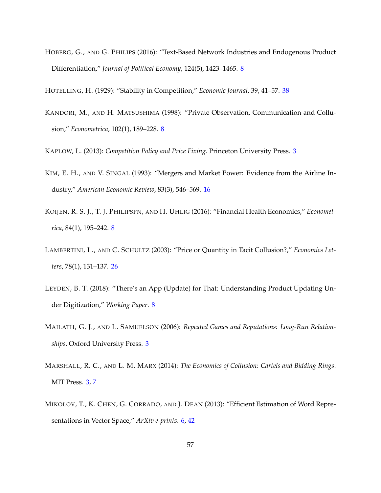<span id="page-56-5"></span>HOBERG, G., AND G. PHILIPS (2016): "Text-Based Network Industries and Endogenous Product Differentiation," *Journal of Political Economy*, 124(5), 1423–1465. [8](#page-7-1)

<span id="page-56-10"></span><span id="page-56-7"></span>HOTELLING, H. (1929): "Stability in Competition," *Economic Journal*, 39, 41–57. [38](#page-37-2)

KANDORI, M., AND H. MATSUSHIMA (1998): "Private Observation, Communication and Collusion," *Econometrica*, 102(1), 189–228. [8](#page-7-1)

<span id="page-56-8"></span><span id="page-56-0"></span>KAPLOW, L. (2013): *Competition Policy and Price Fixing*. Princeton University Press. [3](#page-2-2)

- KIM, E. H., AND V. SINGAL (1993): "Mergers and Market Power: Evidence from the Airline Industry," *American Economic Review*, 83(3), 546–569. [16](#page-15-2)
- <span id="page-56-6"></span>KOIJEN, R. S. J., T. J. PHILIPSPN, AND H. UHLIG (2016): "Financial Health Economics," *Econometrica*, 84(1), 195–242. [8](#page-7-1)
- <span id="page-56-9"></span>LAMBERTINI, L., AND C. SCHULTZ (2003): "Price or Quantity in Tacit Collusion?," *Economics Letters*, 78(1), 131–137. [26](#page-25-2)
- <span id="page-56-4"></span>LEYDEN, B. T. (2018): "There's an App (Update) for That: Understanding Product Updating Under Digitization," *Working Paper*. [8](#page-7-1)
- <span id="page-56-2"></span>MAILATH, G. J., AND L. SAMUELSON (2006): *Repeated Games and Reputations: Long-Run Relationships*. Oxford University Press. [3](#page-2-2)
- <span id="page-56-1"></span>MARSHALL, R. C., AND L. M. MARX (2014): *The Economics of Collusion: Cartels and Bidding Rings*. MIT Press. [3,](#page-2-2) [7](#page-6-2)
- <span id="page-56-3"></span>MIKOLOV, T., K. CHEN, G. CORRADO, AND J. DEAN (2013): "Efficient Estimation of Word Representations in Vector Space," *ArXiv e-prints*. [6,](#page-5-2) [42](#page-41-2)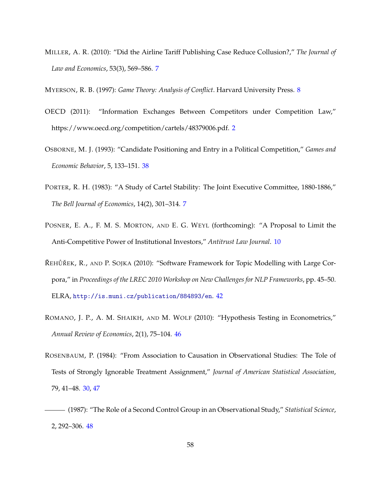<span id="page-57-2"></span>MILLER, A. R. (2010): "Did the Airline Tariff Publishing Case Reduce Collusion?," *The Journal of Law and Economics*, 53(3), 569–586. [7](#page-6-2)

<span id="page-57-3"></span><span id="page-57-0"></span>MYERSON, R. B. (1997): *Game Theory: Analysis of Conflict*. Harvard University Press. [8](#page-7-1)

- OECD (2011): "Information Exchanges Between Competitors under Competition Law," https://www.oecd.org/competition/cartels/48379006.pdf. [2](#page-1-3)
- <span id="page-57-6"></span>OSBORNE, M. J. (1993): "Candidate Positioning and Entry in a Political Competition," *Games and Economic Behavior*, 5, 133–151. [38](#page-37-2)
- <span id="page-57-1"></span>PORTER, R. H. (1983): "A Study of Cartel Stability: The Joint Executive Committee, 1880-1886," *The Bell Journal of Economics*, 14(2), 301–314. [7](#page-6-2)
- <span id="page-57-4"></span>POSNER, E. A., F. M. S. MORTON, AND E. G. WEYL (forthcoming): "A Proposal to Limit the Anti-Competitive Power of Institutional Investors," *Antitrust Law Journal*. [10](#page-9-3)
- <span id="page-57-7"></span>ŘEHŮŘEK, R., AND P. SOJKA (2010): "Software Framework for Topic Modelling with Large Corpora," in *Proceedings of the LREC 2010 Workshop on New Challenges for NLP Frameworks*, pp. 45–50. ELRA, <http://is.muni.cz/publication/884893/en>. [42](#page-41-2)
- <span id="page-57-8"></span>ROMANO, J. P., A. M. SHAIKH, AND M. WOLF (2010): "Hypothesis Testing in Econometrics," *Annual Review of Economics*, 2(1), 75–104. [46](#page-45-0)
- <span id="page-57-5"></span>ROSENBAUM, P. (1984): "From Association to Causation in Observational Studies: The Tole of Tests of Strongly Ignorable Treatment Assignment," *Journal of American Statistical Association*, 79, 41–48. [30,](#page-29-0) [47](#page-46-1)
- <span id="page-57-9"></span>(1987): "The Role of a Second Control Group in an Observational Study," *Statistical Science*, 2, 292–306. [48](#page-47-2)